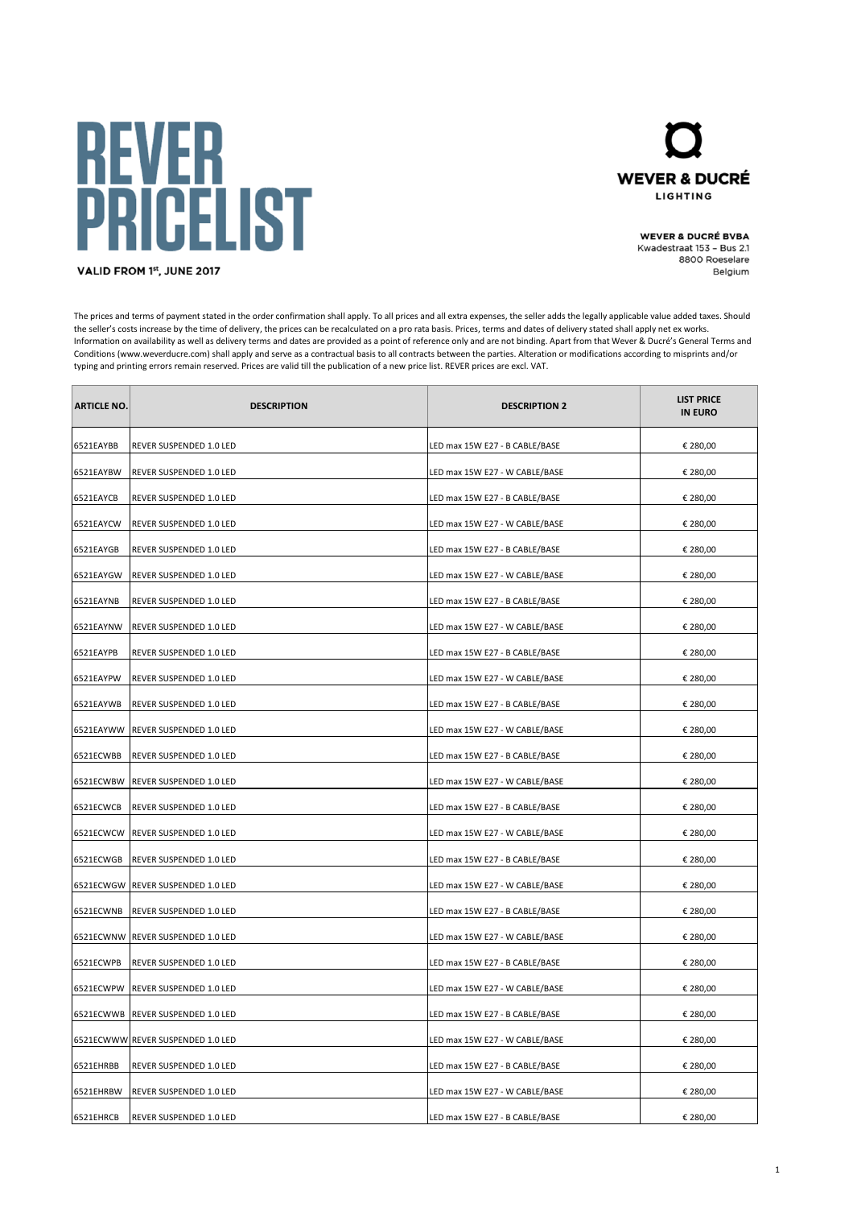## **REVER<br>PRICELIST**



**WEVER & DUCRÉ BVBA** Kwadestraat 153 - Bus 2.1 8800 Roeselare Belgium

VALID FROM 1st, JUNE 2017

The prices and terms of payment stated in the order confirmation shall apply. To all prices and all extra expenses, the seller adds the legally applicable value added taxes. Should the seller's costs increase by the time of delivery, the prices can be recalculated on a pro rata basis. Prices, terms and dates of delivery stated shall apply net ex works. Information on availability as well as delivery terms and dates are provided as a point of reference only and are not binding. Apart from that Wever & Ducré's General Terms and Conditions (www.weverducre.com) shall apply and serve as a contractual basis to all contracts between the parties. Alteration or modifications according to misprints and/or typing and printing errors remain reserved. Prices are valid till the publication of a new price list. REVER prices are excl. VAT.

| <b>ARTICLE NO.</b> | <b>DESCRIPTION</b>                | <b>DESCRIPTION 2</b>           | <b>LIST PRICE</b><br><b>IN EURO</b> |
|--------------------|-----------------------------------|--------------------------------|-------------------------------------|
| 6521EAYBB          | REVER SUSPENDED 1.0 LED           | LED max 15W E27 - B CABLE/BASE | € 280,00                            |
| 6521EAYBW          | REVER SUSPENDED 1.0 LED           | LED max 15W E27 - W CABLE/BASE | € 280,00                            |
| 6521EAYCB          | REVER SUSPENDED 1.0 LED           | LED max 15W E27 - B CABLE/BASE | € 280,00                            |
| 6521EAYCW          | REVER SUSPENDED 1.0 LED           | LED max 15W E27 - W CABLE/BASE | € 280,00                            |
| 6521EAYGB          | REVER SUSPENDED 1.0 LED           | LED max 15W E27 - B CABLE/BASE | € 280,00                            |
| 6521EAYGW          | REVER SUSPENDED 1.0 LED           | LED max 15W E27 - W CABLE/BASE | € 280,00                            |
| 6521EAYNB          | REVER SUSPENDED 1.0 LED           | LED max 15W E27 - B CABLE/BASE | € 280,00                            |
| 6521EAYNW          | REVER SUSPENDED 1.0 LED           | LED max 15W E27 - W CABLE/BASE | € 280,00                            |
| 6521EAYPB          | REVER SUSPENDED 1.0 LED           | LED max 15W E27 - B CABLE/BASE | € 280,00                            |
| 6521EAYPW          | REVER SUSPENDED 1.0 LED           | LED max 15W E27 - W CABLE/BASE | € 280,00                            |
| 6521EAYWB          | REVER SUSPENDED 1.0 LED           | LED max 15W E27 - B CABLE/BASE | € 280,00                            |
|                    | 6521EAYWW REVER SUSPENDED 1.0 LED | LED max 15W E27 - W CABLE/BASE | € 280,00                            |
| 6521ECWBB          | REVER SUSPENDED 1.0 LED           | LED max 15W E27 - B CABLE/BASE | € 280,00                            |
| 6521ECWBW          | REVER SUSPENDED 1.0 LED           | LED max 15W E27 - W CABLE/BASE | € 280,00                            |
| 6521ECWCB          | REVER SUSPENDED 1.0 LED           | LED max 15W E27 - B CABLE/BASE | € 280,00                            |
|                    | 6521ECWCW REVER SUSPENDED 1.0 LED | LED max 15W E27 - W CABLE/BASE | € 280,00                            |
| 6521ECWGB          | REVER SUSPENDED 1.0 LED           | LED max 15W E27 - B CABLE/BASE | € 280,00                            |
|                    | 6521ECWGW REVER SUSPENDED 1.0 LED | LED max 15W E27 - W CABLE/BASE | € 280,00                            |
| 6521ECWNB          | REVER SUSPENDED 1.0 LED           | LED max 15W E27 - B CABLE/BASE | € 280,00                            |
|                    | 6521ECWNW REVER SUSPENDED 1.0 LED | LED max 15W E27 - W CABLE/BASE | € 280,00                            |
| 6521ECWPB          | REVER SUSPENDED 1.0 LED           | LED max 15W E27 - B CABLE/BASE | € 280,00                            |
|                    | 6521ECWPW REVER SUSPENDED 1.0 LED | LED max 15W E27 - W CABLE/BASE | € 280,00                            |
|                    | 6521ECWWB REVER SUSPENDED 1.0 LED | LED max 15W E27 - B CABLE/BASE | € 280,00                            |
|                    | 6521ECWWW REVER SUSPENDED 1.0 LED | LED max 15W E27 - W CABLE/BASE | € 280,00                            |
| 6521EHRBB          | REVER SUSPENDED 1.0 LED           | LED max 15W E27 - B CABLE/BASE | € 280,00                            |
| 6521EHRBW          | REVER SUSPENDED 1.0 LED           | LED max 15W E27 - W CABLE/BASE | € 280,00                            |
| 6521EHRCB          | REVER SUSPENDED 1.0 LED           | LED max 15W E27 - B CABLE/BASE | € 280,00                            |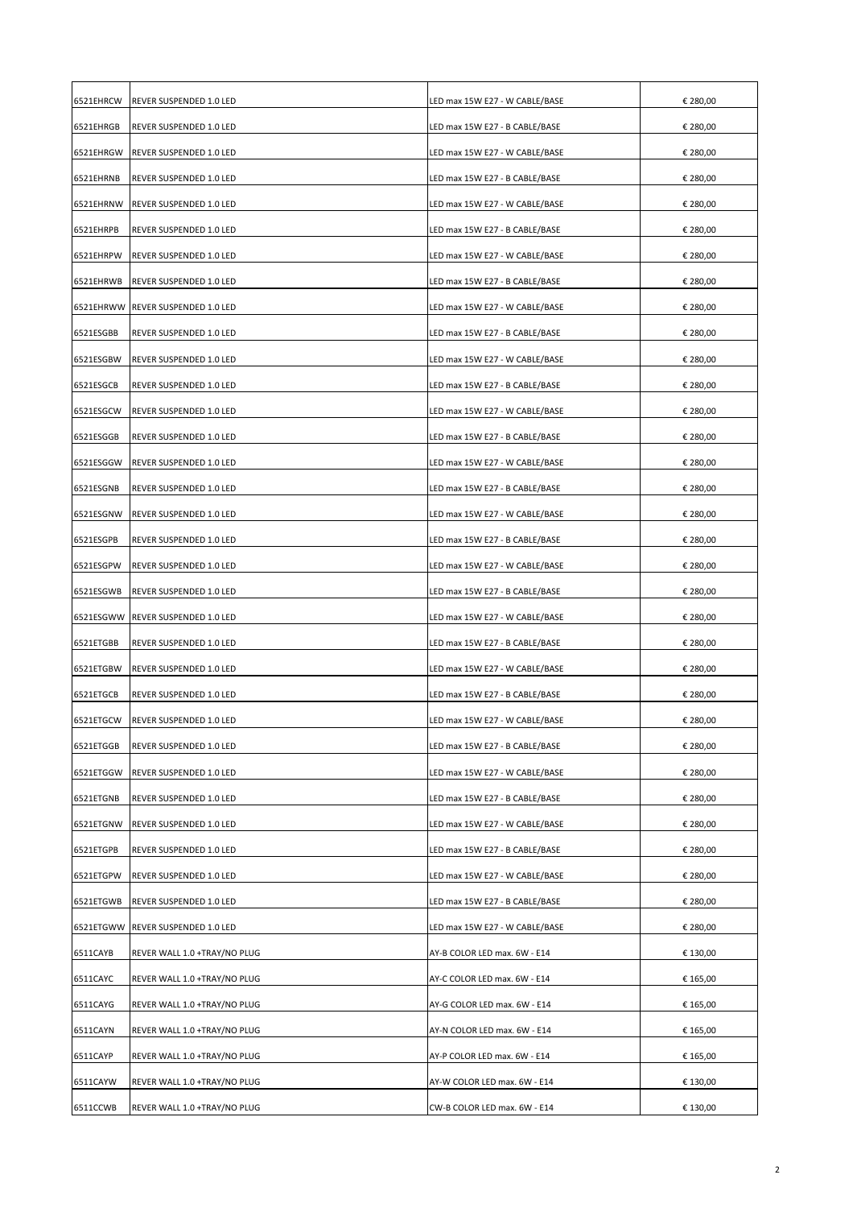| 6521EHRCW | REVER SUSPENDED 1.0 LED           | LED max 15W E27 - W CABLE/BASE | € 280,00 |
|-----------|-----------------------------------|--------------------------------|----------|
| 6521EHRGB | REVER SUSPENDED 1.0 LED           | LED max 15W E27 - B CABLE/BASE | € 280,00 |
| 6521EHRGW | REVER SUSPENDED 1.0 LED           | LED max 15W E27 - W CABLE/BASE | € 280,00 |
| 6521EHRNB | REVER SUSPENDED 1.0 LED           | LED max 15W E27 - B CABLE/BASE | € 280,00 |
| 6521EHRNW | REVER SUSPENDED 1.0 LED           | LED max 15W E27 - W CABLE/BASE | € 280,00 |
| 6521EHRPB | REVER SUSPENDED 1.0 LED           | LED max 15W E27 - B CABLE/BASE | € 280,00 |
| 6521EHRPW | REVER SUSPENDED 1.0 LED           | LED max 15W E27 - W CABLE/BASE | € 280,00 |
| 6521EHRWB | REVER SUSPENDED 1.0 LED           | LED max 15W E27 - B CABLE/BASE | € 280,00 |
|           | 6521EHRWW REVER SUSPENDED 1.0 LED | LED max 15W E27 - W CABLE/BASE | € 280,00 |
| 6521ESGBB | REVER SUSPENDED 1.0 LED           | LED max 15W E27 - B CABLE/BASE | € 280,00 |
| 6521ESGBW | REVER SUSPENDED 1.0 LED           | LED max 15W E27 - W CABLE/BASE | € 280,00 |
| 6521ESGCB | REVER SUSPENDED 1.0 LED           | LED max 15W E27 - B CABLE/BASE | € 280,00 |
| 6521ESGCW | REVER SUSPENDED 1.0 LED           | LED max 15W E27 - W CABLE/BASE | € 280,00 |
| 6521ESGGB | REVER SUSPENDED 1.0 LED           | LED max 15W E27 - B CABLE/BASE | € 280,00 |
| 6521ESGGW | REVER SUSPENDED 1.0 LED           | LED max 15W E27 - W CABLE/BASE | € 280,00 |
| 6521ESGNB | REVER SUSPENDED 1.0 LED           | LED max 15W E27 - B CABLE/BASE | € 280,00 |
| 6521ESGNW | REVER SUSPENDED 1.0 LED           | LED max 15W E27 - W CABLE/BASE | € 280,00 |
| 6521ESGPB | REVER SUSPENDED 1.0 LED           | LED max 15W E27 - B CABLE/BASE | € 280,00 |
| 6521ESGPW | REVER SUSPENDED 1.0 LED           | LED max 15W E27 - W CABLE/BASE | € 280,00 |
| 6521ESGWB | REVER SUSPENDED 1.0 LED           | LED max 15W E27 - B CABLE/BASE | € 280,00 |
| 6521ESGWW | REVER SUSPENDED 1.0 LED           | LED max 15W E27 - W CABLE/BASE | € 280,00 |
| 6521ETGBB | REVER SUSPENDED 1.0 LED           | LED max 15W E27 - B CABLE/BASE | € 280,00 |
| 6521ETGBW | REVER SUSPENDED 1.0 LED           | LED max 15W E27 - W CABLE/BASE | € 280,00 |
| 6521ETGCB | REVER SUSPENDED 1.0 LED           | LED max 15W E27 - B CABLE/BASE | € 280,00 |
|           | 6521ETGCW REVER SUSPENDED 1.0 LED | LED max 15W E27 - W CABLE/BASE | € 280,00 |
| 6521ETGGB | REVER SUSPENDED 1.0 LED           | LED max 15W E27 - B CABLE/BASE | € 280,00 |
| 6521ETGGW | REVER SUSPENDED 1.0 LED           | LED max 15W E27 - W CABLE/BASE | € 280,00 |
| 6521ETGNB | REVER SUSPENDED 1.0 LED           | LED max 15W E27 - B CABLE/BASE | € 280,00 |
| 6521ETGNW | REVER SUSPENDED 1.0 LED           | LED max 15W E27 - W CABLE/BASE | € 280,00 |
| 6521ETGPB | REVER SUSPENDED 1.0 LED           | LED max 15W E27 - B CABLE/BASE | € 280,00 |
| 6521ETGPW | REVER SUSPENDED 1.0 LED           | LED max 15W E27 - W CABLE/BASE | € 280,00 |
| 6521ETGWB | REVER SUSPENDED 1.0 LED           | LED max 15W E27 - B CABLE/BASE | € 280,00 |
| 6521ETGWW | REVER SUSPENDED 1.0 LED           | LED max 15W E27 - W CABLE/BASE | € 280,00 |
| 6511CAYB  | REVER WALL 1.0 +TRAY/NO PLUG      | AY-B COLOR LED max. 6W - E14   | € 130,00 |
| 6511CAYC  | REVER WALL 1.0 +TRAY/NO PLUG      | AY-C COLOR LED max. 6W - E14   | € 165,00 |
| 6511CAYG  | REVER WALL 1.0 +TRAY/NO PLUG      | AY-G COLOR LED max. 6W - E14   | € 165,00 |
| 6511CAYN  | REVER WALL 1.0 +TRAY/NO PLUG      | AY-N COLOR LED max. 6W - E14   | € 165,00 |
| 6511CAYP  | REVER WALL 1.0 +TRAY/NO PLUG      | AY-P COLOR LED max. 6W - E14   | € 165,00 |
| 6511CAYW  | REVER WALL 1.0 +TRAY/NO PLUG      | AY-W COLOR LED max. 6W - E14   | € 130,00 |
| 6511CCWB  | REVER WALL 1.0 +TRAY/NO PLUG      | CW-B COLOR LED max. 6W - E14   | € 130,00 |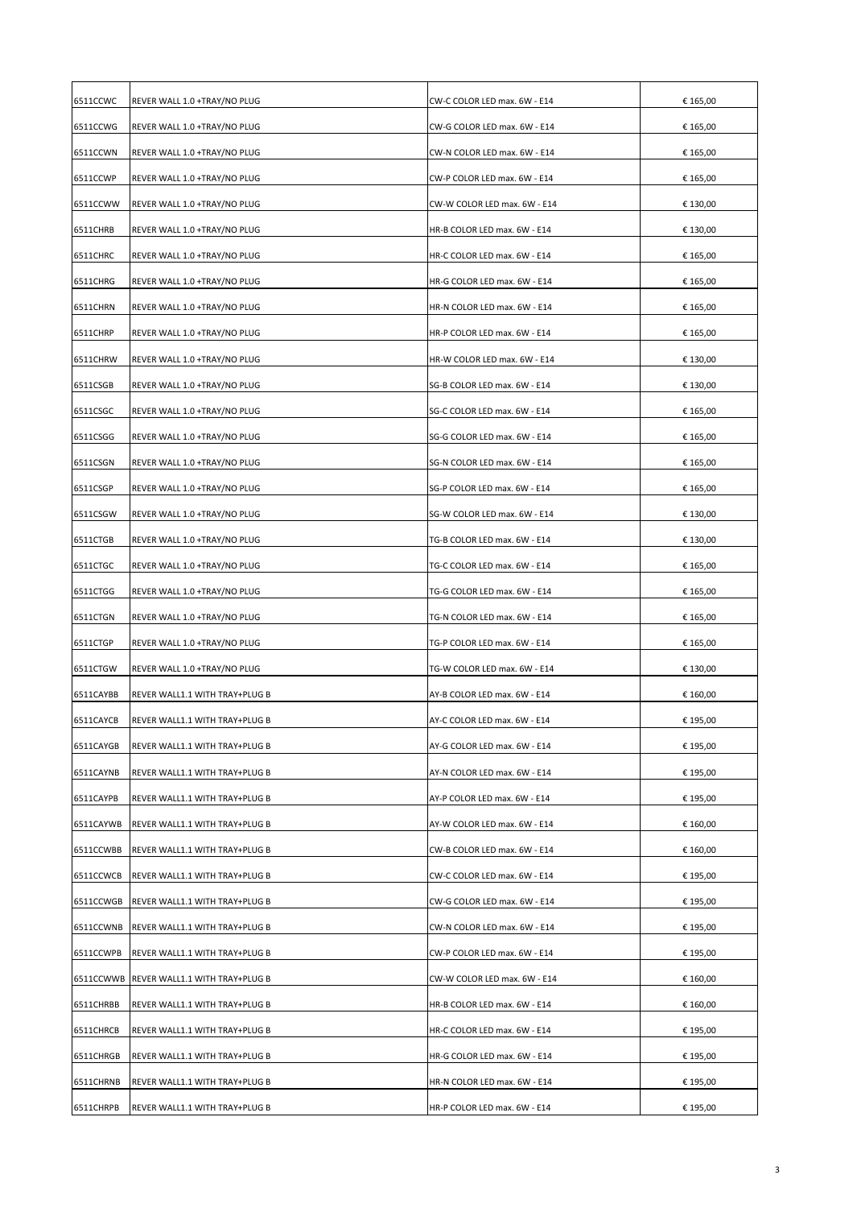| 6511CCWC  | REVER WALL 1.0 +TRAY/NO PLUG             | CW-C COLOR LED max. 6W - E14 | € 165,00 |
|-----------|------------------------------------------|------------------------------|----------|
| 6511CCWG  | REVER WALL 1.0 +TRAY/NO PLUG             | CW-G COLOR LED max. 6W - E14 | € 165,00 |
| 6511CCWN  | REVER WALL 1.0 +TRAY/NO PLUG             | CW-N COLOR LED max. 6W - E14 | € 165,00 |
| 6511CCWP  | REVER WALL 1.0 +TRAY/NO PLUG             | CW-P COLOR LED max. 6W - E14 | € 165,00 |
| 6511CCWW  | REVER WALL 1.0 +TRAY/NO PLUG             | CW-W COLOR LED max. 6W - E14 | € 130,00 |
| 6511CHRB  | REVER WALL 1.0 +TRAY/NO PLUG             | HR-B COLOR LED max. 6W - E14 | € 130,00 |
| 6511CHRC  | REVER WALL 1.0 +TRAY/NO PLUG             | HR-C COLOR LED max. 6W - E14 | € 165,00 |
| 6511CHRG  | REVER WALL 1.0 +TRAY/NO PLUG             | HR-G COLOR LED max. 6W - E14 | € 165,00 |
| 6511CHRN  | REVER WALL 1.0 +TRAY/NO PLUG             | HR-N COLOR LED max. 6W - E14 | € 165,00 |
| 6511CHRP  | REVER WALL 1.0 +TRAY/NO PLUG             | HR-P COLOR LED max. 6W - E14 | € 165,00 |
| 6511CHRW  | REVER WALL 1.0 +TRAY/NO PLUG             | HR-W COLOR LED max. 6W - E14 | € 130,00 |
| 6511CSGB  | REVER WALL 1.0 +TRAY/NO PLUG             | SG-B COLOR LED max. 6W - E14 | € 130,00 |
| 6511CSGC  | REVER WALL 1.0 +TRAY/NO PLUG             | SG-C COLOR LED max. 6W - E14 | € 165,00 |
| 6511CSGG  | REVER WALL 1.0 +TRAY/NO PLUG             | SG-G COLOR LED max. 6W - E14 | € 165,00 |
| 6511CSGN  | REVER WALL 1.0 +TRAY/NO PLUG             | SG-N COLOR LED max. 6W - E14 | € 165,00 |
| 6511CSGP  | REVER WALL 1.0 +TRAY/NO PLUG             | SG-P COLOR LED max. 6W - E14 | € 165,00 |
| 6511CSGW  | REVER WALL 1.0 +TRAY/NO PLUG             | SG-W COLOR LED max. 6W - E14 | € 130,00 |
| 6511CTGB  | REVER WALL 1.0 +TRAY/NO PLUG             | TG-B COLOR LED max. 6W - E14 | € 130,00 |
| 6511CTGC  | REVER WALL 1.0 +TRAY/NO PLUG             | TG-C COLOR LED max. 6W - E14 | € 165,00 |
| 6511CTGG  | REVER WALL 1.0 +TRAY/NO PLUG             | TG-G COLOR LED max. 6W - E14 | € 165,00 |
| 6511CTGN  | REVER WALL 1.0 +TRAY/NO PLUG             | TG-N COLOR LED max. 6W - E14 | € 165,00 |
| 6511CTGP  | REVER WALL 1.0 +TRAY/NO PLUG             | TG-P COLOR LED max. 6W - E14 | € 165,00 |
| 6511CTGW  | REVER WALL 1.0 +TRAY/NO PLUG             | TG-W COLOR LED max. 6W - E14 | € 130,00 |
| 6511CAYBB | REVER WALL1.1 WITH TRAY+PLUG B           | AY-B COLOR LED max. 6W - E14 | € 160,00 |
| 6511CAYCB | REVER WALL1.1 WITH TRAY+PLUG B           | AY-C COLOR LED max. 6W - E14 | € 195,00 |
| 6511CAYGB | REVER WALL1.1 WITH TRAY+PLUG B           | AY-G COLOR LED max. 6W - E14 | € 195,00 |
| 6511CAYNB | REVER WALL1.1 WITH TRAY+PLUG B           | AY-N COLOR LED max. 6W - E14 | € 195,00 |
| 6511CAYPB | REVER WALL1.1 WITH TRAY+PLUG B           | AY-P COLOR LED max. 6W - E14 | € 195,00 |
| 6511CAYWB | REVER WALL1.1 WITH TRAY+PLUG B           | AY-W COLOR LED max. 6W - E14 | € 160,00 |
| 6511CCWBB |                                          |                              |          |
|           | REVER WALL1.1 WITH TRAY+PLUG B           | CW-B COLOR LED max. 6W - E14 | € 160,00 |
| 6511CCWCB | REVER WALL1.1 WITH TRAY+PLUG B           | CW-C COLOR LED max. 6W - E14 | € 195,00 |
| 6511CCWGB | REVER WALL1.1 WITH TRAY+PLUG B           | CW-G COLOR LED max. 6W - E14 | € 195,00 |
| 6511CCWNB | REVER WALL1.1 WITH TRAY+PLUG B           | CW-N COLOR LED max. 6W - E14 | € 195,00 |
| 6511CCWPB | REVER WALL1.1 WITH TRAY+PLUG B           | CW-P COLOR LED max. 6W - E14 | € 195,00 |
|           | 6511CCWWB REVER WALL1.1 WITH TRAY+PLUG B | CW-W COLOR LED max. 6W - E14 | € 160,00 |
| 6511CHRBB | REVER WALL1.1 WITH TRAY+PLUG B           | HR-B COLOR LED max. 6W - E14 | € 160,00 |
| 6511CHRCB | REVER WALL1.1 WITH TRAY+PLUG B           | HR-C COLOR LED max. 6W - E14 | € 195,00 |
| 6511CHRGB | REVER WALL1.1 WITH TRAY+PLUG B           | HR-G COLOR LED max. 6W - E14 | € 195,00 |
| 6511CHRNB | REVER WALL1.1 WITH TRAY+PLUG B           | HR-N COLOR LED max. 6W - E14 | € 195,00 |
| 6511CHRPB | REVER WALL1.1 WITH TRAY+PLUG B           | HR-P COLOR LED max. 6W - E14 | € 195,00 |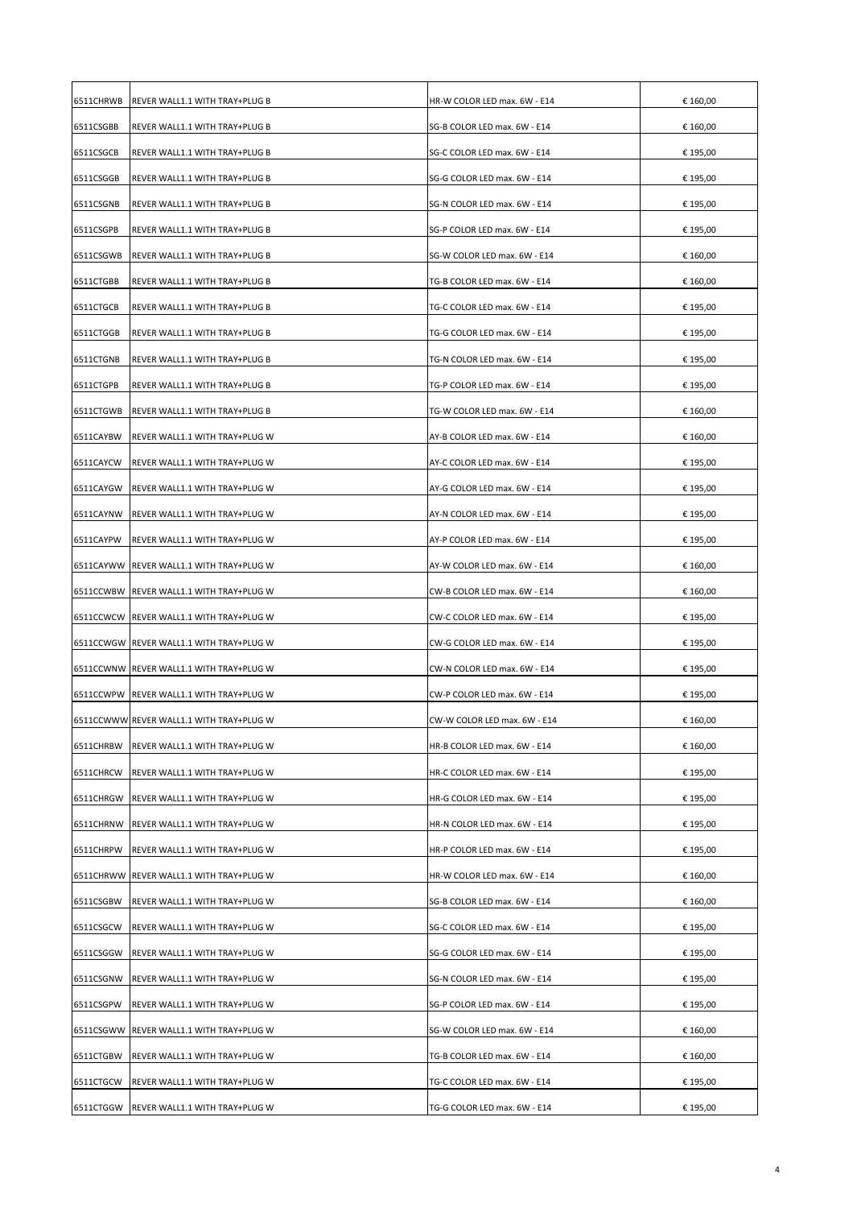| 6511CHRWB | REVER WALL1.1 WITH TRAY+PLUG B           | HR-W COLOR LED max. 6W - E14 | € 160,00 |
|-----------|------------------------------------------|------------------------------|----------|
| 6511CSGBB | REVER WALL1.1 WITH TRAY+PLUG B           | SG-B COLOR LED max. 6W - E14 | € 160,00 |
| 6511CSGCB | REVER WALL1.1 WITH TRAY+PLUG B           | SG-C COLOR LED max. 6W - E14 | € 195,00 |
| 6511CSGGB | REVER WALL1.1 WITH TRAY+PLUG B           | SG-G COLOR LED max. 6W - E14 | € 195,00 |
| 6511CSGNB | REVER WALL1.1 WITH TRAY+PLUG B           | SG-N COLOR LED max. 6W - E14 | € 195,00 |
| 6511CSGPB | REVER WALL1.1 WITH TRAY+PLUG B           | SG-P COLOR LED max. 6W - E14 | € 195,00 |
| 6511CSGWB | REVER WALL1.1 WITH TRAY+PLUG B           | SG-W COLOR LED max. 6W - E14 | € 160,00 |
| 6511CTGBB | REVER WALL1.1 WITH TRAY+PLUG B           | TG-B COLOR LED max. 6W - E14 | € 160,00 |
| 6511CTGCB | REVER WALL1.1 WITH TRAY+PLUG B           | TG-C COLOR LED max. 6W - E14 | € 195,00 |
| 6511CTGGB | REVER WALL1.1 WITH TRAY+PLUG B           | TG-G COLOR LED max. 6W - E14 | € 195,00 |
| 6511CTGNB | REVER WALL1.1 WITH TRAY+PLUG B           | TG-N COLOR LED max. 6W - E14 | € 195,00 |
| 6511CTGPB | REVER WALL1.1 WITH TRAY+PLUG B           | TG-P COLOR LED max. 6W - E14 | € 195,00 |
| 6511CTGWB | REVER WALL1.1 WITH TRAY+PLUG B           | TG-W COLOR LED max. 6W - E14 | € 160,00 |
| 6511CAYBW | REVER WALL1.1 WITH TRAY+PLUG W           | AY-B COLOR LED max. 6W - E14 | € 160,00 |
| 6511CAYCW | REVER WALL1.1 WITH TRAY+PLUG W           | AY-C COLOR LED max. 6W - E14 | € 195,00 |
| 6511CAYGW | REVER WALL1.1 WITH TRAY+PLUG W           | AY-G COLOR LED max. 6W - E14 | € 195,00 |
| 6511CAYNW | REVER WALL1.1 WITH TRAY+PLUG W           | AY-N COLOR LED max. 6W - E14 | € 195,00 |
| 6511CAYPW | REVER WALL1.1 WITH TRAY+PLUG W           | AY-P COLOR LED max. 6W - E14 | € 195,00 |
|           | 6511CAYWW REVER WALL1.1 WITH TRAY+PLUG W | AY-W COLOR LED max. 6W - E14 | € 160,00 |
|           | 6511CCWBW REVER WALL1.1 WITH TRAY+PLUG W | CW-B COLOR LED max. 6W - E14 | € 160,00 |
|           | 6511CCWCW REVER WALL1.1 WITH TRAY+PLUG W | CW-C COLOR LED max. 6W - E14 | € 195,00 |
|           | 6511CCWGW REVER WALL1.1 WITH TRAY+PLUG W | CW-G COLOR LED max. 6W - E14 | € 195,00 |
|           | 6511CCWNW REVER WALL1.1 WITH TRAY+PLUG W | CW-N COLOR LED max. 6W - E14 | € 195,00 |
|           | 6511CCWPW REVER WALL1.1 WITH TRAY+PLUG W | CW-P COLOR LED max. 6W - E14 | € 195,00 |
|           | 6511CCWWW REVER WALL1.1 WITH TRAY+PLUG W | CW-W COLOR LED max. 6W - E14 | € 160,00 |
| 6511CHRBW | REVER WALL1.1 WITH TRAY+PLUG W           | HR-B COLOR LED max. 6W - E14 | € 160,00 |
| 6511CHRCW | REVER WALL1.1 WITH TRAY+PLUG W           | HR-C COLOR LED max. 6W - E14 | € 195,00 |
| 6511CHRGW | REVER WALL1.1 WITH TRAY+PLUG W           | HR-G COLOR LED max. 6W - E14 | € 195,00 |
| 6511CHRNW | REVER WALL1.1 WITH TRAY+PLUG W           | HR-N COLOR LED max. 6W - E14 | € 195,00 |
| 6511CHRPW | REVER WALL1.1 WITH TRAY+PLUG W           | HR-P COLOR LED max. 6W - E14 | € 195,00 |
|           | 6511CHRWW REVER WALL1.1 WITH TRAY+PLUG W | HR-W COLOR LED max. 6W - E14 | € 160,00 |
| 6511CSGBW | REVER WALL1.1 WITH TRAY+PLUG W           | SG-B COLOR LED max. 6W - E14 | € 160,00 |
| 6511CSGCW | REVER WALL1.1 WITH TRAY+PLUG W           | SG-C COLOR LED max. 6W - E14 | € 195,00 |
| 6511CSGGW | REVER WALL1.1 WITH TRAY+PLUG W           | SG-G COLOR LED max. 6W - E14 | € 195,00 |
| 6511CSGNW | REVER WALL1.1 WITH TRAY+PLUG W           | SG-N COLOR LED max. 6W - E14 | € 195,00 |
| 6511CSGPW | REVER WALL1.1 WITH TRAY+PLUG W           | SG-P COLOR LED max. 6W - E14 | € 195,00 |
| 6511CSGWW | REVER WALL1.1 WITH TRAY+PLUG W           | SG-W COLOR LED max. 6W - E14 | € 160,00 |
| 6511CTGBW | REVER WALL1.1 WITH TRAY+PLUG W           | TG-B COLOR LED max. 6W - E14 | € 160,00 |
| 6511CTGCW | REVER WALL1.1 WITH TRAY+PLUG W           | TG-C COLOR LED max. 6W - E14 | € 195,00 |
| 6511CTGGW | REVER WALL1.1 WITH TRAY+PLUG W           | TG-G COLOR LED max. 6W - E14 | € 195,00 |
|           |                                          |                              |          |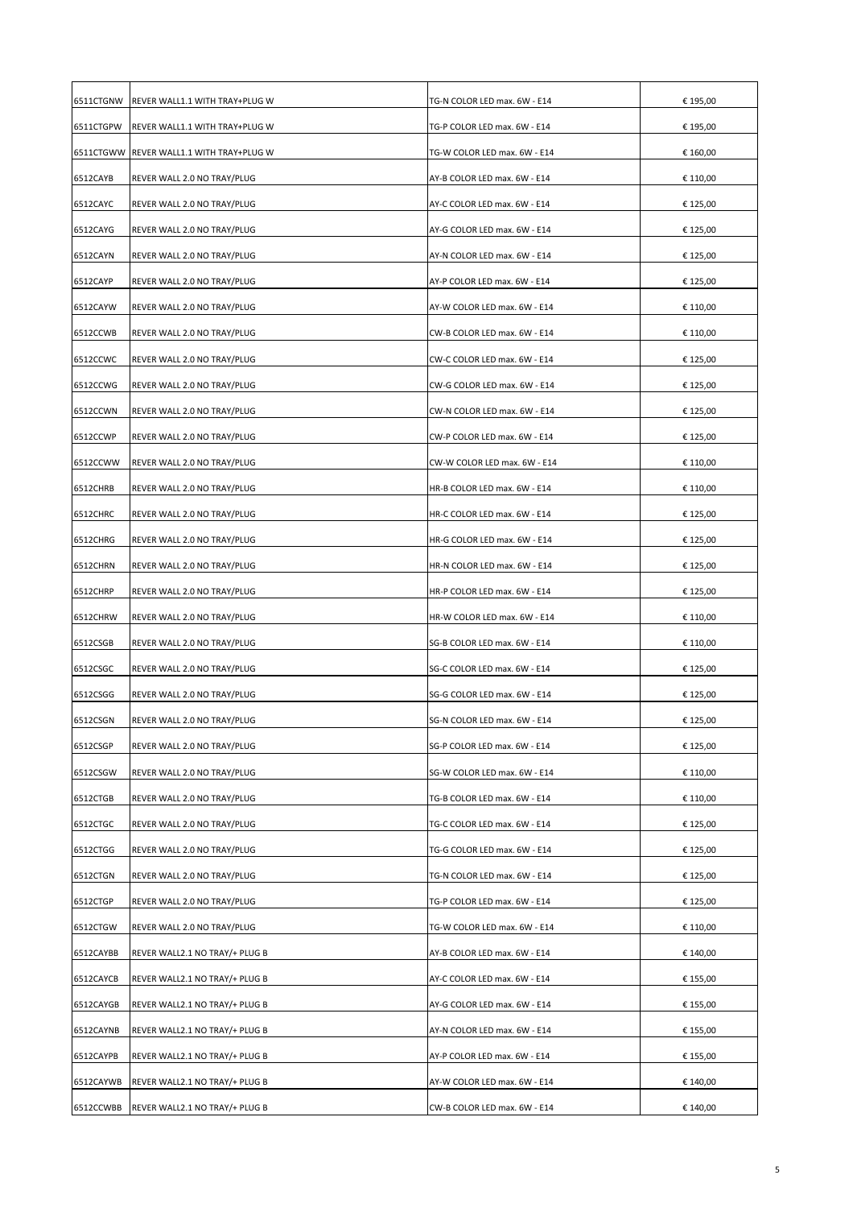| 6511CTGNW | REVER WALL1.1 WITH TRAY+PLUG W | TG-N COLOR LED max. 6W - E14 | € 195,00 |
|-----------|--------------------------------|------------------------------|----------|
| 6511CTGPW | REVER WALL1.1 WITH TRAY+PLUG W | TG-P COLOR LED max. 6W - E14 | € 195,00 |
| 6511CTGWW | REVER WALL1.1 WITH TRAY+PLUG W | TG-W COLOR LED max. 6W - E14 | € 160,00 |
| 6512CAYB  | REVER WALL 2.0 NO TRAY/PLUG    | AY-B COLOR LED max. 6W - E14 | € 110,00 |
| 6512CAYC  | REVER WALL 2.0 NO TRAY/PLUG    | AY-C COLOR LED max. 6W - E14 | € 125,00 |
| 6512CAYG  | REVER WALL 2.0 NO TRAY/PLUG    | AY-G COLOR LED max. 6W - E14 | € 125,00 |
| 6512CAYN  | REVER WALL 2.0 NO TRAY/PLUG    | AY-N COLOR LED max. 6W - E14 | € 125,00 |
| 6512CAYP  | REVER WALL 2.0 NO TRAY/PLUG    | AY-P COLOR LED max. 6W - E14 | € 125,00 |
| 6512CAYW  | REVER WALL 2.0 NO TRAY/PLUG    | AY-W COLOR LED max. 6W - E14 | € 110,00 |
| 6512CCWB  | REVER WALL 2.0 NO TRAY/PLUG    | CW-B COLOR LED max. 6W - E14 | € 110,00 |
| 6512CCWC  | REVER WALL 2.0 NO TRAY/PLUG    | CW-C COLOR LED max. 6W - E14 | € 125,00 |
| 6512CCWG  | REVER WALL 2.0 NO TRAY/PLUG    | CW-G COLOR LED max. 6W - E14 | € 125,00 |
| 6512CCWN  | REVER WALL 2.0 NO TRAY/PLUG    | CW-N COLOR LED max. 6W - E14 | € 125,00 |
| 6512CCWP  | REVER WALL 2.0 NO TRAY/PLUG    | CW-P COLOR LED max. 6W - E14 | € 125,00 |
| 6512CCWW  | REVER WALL 2.0 NO TRAY/PLUG    | CW-W COLOR LED max. 6W - E14 | € 110,00 |
| 6512CHRB  | REVER WALL 2.0 NO TRAY/PLUG    | HR-B COLOR LED max. 6W - E14 | € 110,00 |
| 6512CHRC  | REVER WALL 2.0 NO TRAY/PLUG    | HR-C COLOR LED max. 6W - E14 | € 125,00 |
| 6512CHRG  | REVER WALL 2.0 NO TRAY/PLUG    | HR-G COLOR LED max. 6W - E14 | € 125,00 |
|           |                                |                              |          |
| 6512CHRN  | REVER WALL 2.0 NO TRAY/PLUG    | HR-N COLOR LED max. 6W - E14 | € 125,00 |
| 6512CHRP  | REVER WALL 2.0 NO TRAY/PLUG    | HR-P COLOR LED max. 6W - E14 | € 125,00 |
| 6512CHRW  | REVER WALL 2.0 NO TRAY/PLUG    | HR-W COLOR LED max. 6W - E14 | € 110,00 |
| 6512CSGB  | REVER WALL 2.0 NO TRAY/PLUG    | SG-B COLOR LED max. 6W - E14 | € 110,00 |
| 6512CSGC  | REVER WALL 2.0 NO TRAY/PLUG    | SG-C COLOR LED max. 6W - E14 | € 125,00 |
| 6512CSGG  | REVER WALL 2.0 NO TRAY/PLUG    | SG-G COLOR LED max. 6W - E14 | € 125,00 |
| 6512CSGN  | REVER WALL 2.0 NO TRAY/PLUG    | SG-N COLOR LED max. 6W - E14 | € 125,00 |
| 6512CSGP  | REVER WALL 2.0 NO TRAY/PLUG    | SG-P COLOR LED max. 6W - E14 | € 125,00 |
| 6512CSGW  | REVER WALL 2.0 NO TRAY/PLUG    | SG-W COLOR LED max. 6W - E14 | € 110,00 |
| 6512CTGB  | REVER WALL 2.0 NO TRAY/PLUG    | TG-B COLOR LED max. 6W - E14 | € 110,00 |
| 6512CTGC  | REVER WALL 2.0 NO TRAY/PLUG    | TG-C COLOR LED max. 6W - E14 | € 125,00 |
| 6512CTGG  | REVER WALL 2.0 NO TRAY/PLUG    | TG-G COLOR LED max. 6W - E14 | € 125,00 |
| 6512CTGN  | REVER WALL 2.0 NO TRAY/PLUG    | TG-N COLOR LED max. 6W - E14 | € 125,00 |
| 6512CTGP  | REVER WALL 2.0 NO TRAY/PLUG    | TG-P COLOR LED max. 6W - E14 | € 125,00 |
| 6512CTGW  | REVER WALL 2.0 NO TRAY/PLUG    | TG-W COLOR LED max. 6W - E14 | € 110,00 |
| 6512CAYBB | REVER WALL2.1 NO TRAY/+ PLUG B | AY-B COLOR LED max. 6W - E14 | € 140,00 |
| 6512CAYCB | REVER WALL2.1 NO TRAY/+ PLUG B | AY-C COLOR LED max. 6W - E14 | € 155,00 |
| 6512CAYGB | REVER WALL2.1 NO TRAY/+ PLUG B | AY-G COLOR LED max. 6W - E14 | € 155,00 |
| 6512CAYNB | REVER WALL2.1 NO TRAY/+ PLUG B | AY-N COLOR LED max. 6W - E14 | € 155,00 |
| 6512CAYPB | REVER WALL2.1 NO TRAY/+ PLUG B | AY-P COLOR LED max. 6W - E14 | € 155,00 |
| 6512CAYWB | REVER WALL2.1 NO TRAY/+ PLUG B | AY-W COLOR LED max. 6W - E14 | € 140,00 |
| 6512CCWBB | REVER WALL2.1 NO TRAY/+ PLUG B | CW-B COLOR LED max. 6W - E14 | € 140,00 |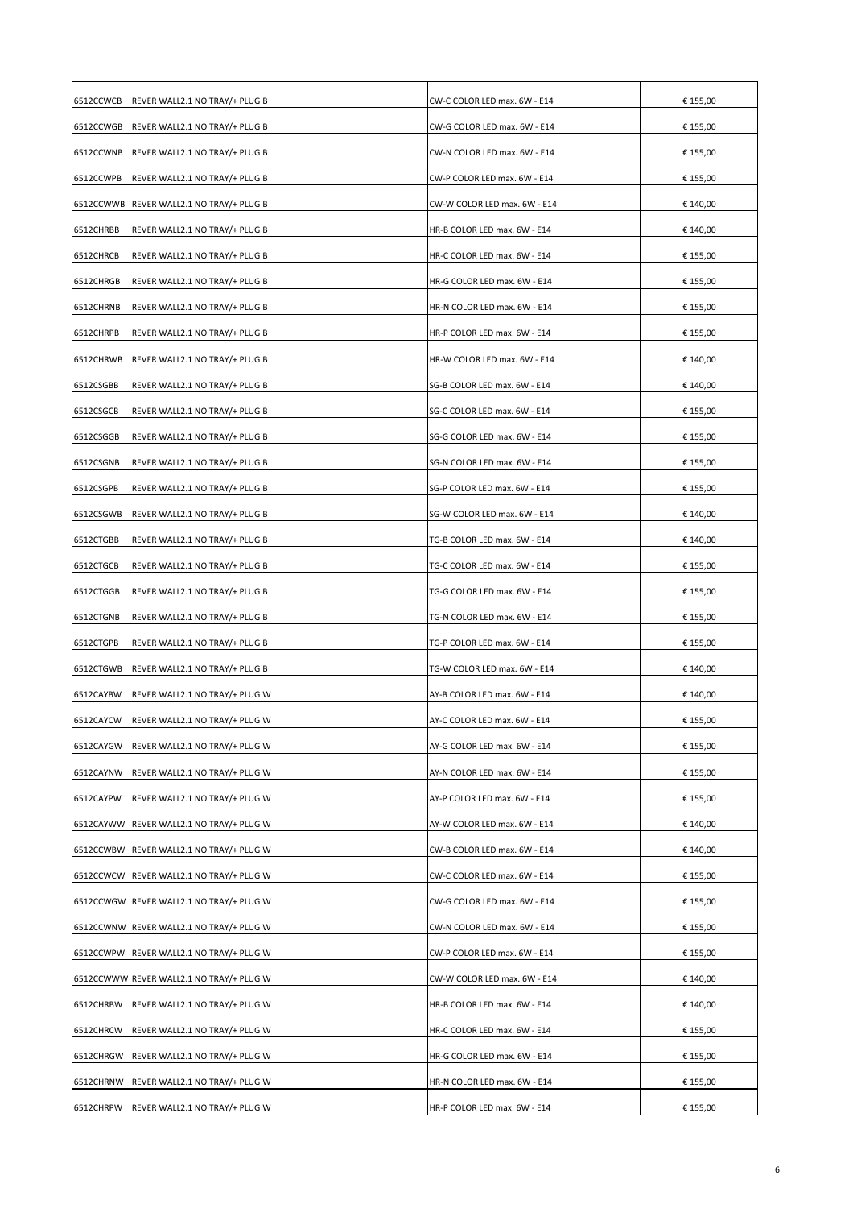| 6512CCWCB | REVER WALL2.1 NO TRAY/+ PLUG B           | CW-C COLOR LED max. 6W - E14 | € 155,00 |
|-----------|------------------------------------------|------------------------------|----------|
| 6512CCWGB | REVER WALL2.1 NO TRAY/+ PLUG B           | CW-G COLOR LED max. 6W - E14 | € 155,00 |
| 6512CCWNB | REVER WALL2.1 NO TRAY/+ PLUG B           | CW-N COLOR LED max. 6W - E14 | € 155,00 |
| 6512CCWPB | REVER WALL2.1 NO TRAY/+ PLUG B           | CW-P COLOR LED max. 6W - E14 | € 155,00 |
|           | 6512CCWWB REVER WALL2.1 NO TRAY/+ PLUG B | CW-W COLOR LED max. 6W - E14 | € 140,00 |
| 6512CHRBB | REVER WALL2.1 NO TRAY/+ PLUG B           | HR-B COLOR LED max. 6W - E14 | € 140,00 |
| 6512CHRCB | REVER WALL2.1 NO TRAY/+ PLUG B           | HR-C COLOR LED max. 6W - E14 | € 155,00 |
| 6512CHRGB | REVER WALL2.1 NO TRAY/+ PLUG B           | HR-G COLOR LED max. 6W - E14 | € 155,00 |
| 6512CHRNB | REVER WALL2.1 NO TRAY/+ PLUG B           | HR-N COLOR LED max. 6W - E14 | € 155,00 |
| 6512CHRPB | REVER WALL2.1 NO TRAY/+ PLUG B           | HR-P COLOR LED max. 6W - E14 | € 155,00 |
| 6512CHRWB | REVER WALL2.1 NO TRAY/+ PLUG B           | HR-W COLOR LED max. 6W - E14 | € 140,00 |
| 6512CSGBB | REVER WALL2.1 NO TRAY/+ PLUG B           | SG-B COLOR LED max. 6W - E14 | € 140,00 |
| 6512CSGCB | REVER WALL2.1 NO TRAY/+ PLUG B           | SG-C COLOR LED max. 6W - E14 | € 155,00 |
| 6512CSGGB | REVER WALL2.1 NO TRAY/+ PLUG B           | SG-G COLOR LED max. 6W - E14 | € 155,00 |
| 6512CSGNB | REVER WALL2.1 NO TRAY/+ PLUG B           | SG-N COLOR LED max. 6W - E14 | € 155,00 |
| 6512CSGPB | REVER WALL2.1 NO TRAY/+ PLUG B           | SG-P COLOR LED max. 6W - E14 | € 155,00 |
| 6512CSGWB | REVER WALL2.1 NO TRAY/+ PLUG B           | SG-W COLOR LED max. 6W - E14 | € 140,00 |
| 6512CTGBB | REVER WALL2.1 NO TRAY/+ PLUG B           | TG-B COLOR LED max. 6W - E14 | € 140,00 |
| 6512CTGCB | REVER WALL2.1 NO TRAY/+ PLUG B           | TG-C COLOR LED max. 6W - E14 | € 155,00 |
| 6512CTGGB | REVER WALL2.1 NO TRAY/+ PLUG B           | TG-G COLOR LED max. 6W - E14 | € 155,00 |
| 6512CTGNB | REVER WALL2.1 NO TRAY/+ PLUG B           | TG-N COLOR LED max. 6W - E14 | € 155,00 |
| 6512CTGPB | REVER WALL2.1 NO TRAY/+ PLUG B           | TG-P COLOR LED max. 6W - E14 | € 155,00 |
| 6512CTGWB | REVER WALL2.1 NO TRAY/+ PLUG B           | TG-W COLOR LED max. 6W - E14 | € 140,00 |
| 6512CAYBW | REVER WALL2.1 NO TRAY/+ PLUG W           | AY-B COLOR LED max. 6W - E14 | € 140,00 |
|           | 6512CAYCW REVER WALL2.1 NO TRAY/+ PLUG W | AY-C COLOR LED max. 6W - E14 | € 155,00 |
| 6512CAYGW | REVER WALL2.1 NO TRAY/+ PLUG W           | AY-G COLOR LED max. 6W - E14 | € 155,00 |
| 6512CAYNW | REVER WALL2.1 NO TRAY/+ PLUG W           | AY-N COLOR LED max. 6W - E14 | € 155,00 |
| 6512CAYPW | REVER WALL2.1 NO TRAY/+ PLUG W           | AY-P COLOR LED max. 6W - E14 | € 155,00 |
|           | 6512CAYWW REVER WALL2.1 NO TRAY/+ PLUG W | AY-W COLOR LED max. 6W - E14 | € 140,00 |
|           | 6512CCWBW REVER WALL2.1 NO TRAY/+ PLUG W | CW-B COLOR LED max. 6W - E14 | € 140,00 |
|           | 6512CCWCW REVER WALL2.1 NO TRAY/+ PLUG W | CW-C COLOR LED max. 6W - E14 | € 155,00 |
|           | 6512CCWGW REVER WALL2.1 NO TRAY/+ PLUG W | CW-G COLOR LED max. 6W - E14 | € 155,00 |
|           | 6512CCWNW REVER WALL2.1 NO TRAY/+ PLUG W | CW-N COLOR LED max. 6W - E14 | € 155,00 |
|           | 6512CCWPW REVER WALL2.1 NO TRAY/+ PLUG W | CW-P COLOR LED max. 6W - E14 | € 155,00 |
|           | 6512CCWWW REVER WALL2.1 NO TRAY/+ PLUG W | CW-W COLOR LED max. 6W - E14 | € 140,00 |
| 6512CHRBW | REVER WALL2.1 NO TRAY/+ PLUG W           | HR-B COLOR LED max. 6W - E14 | € 140,00 |
| 6512CHRCW | REVER WALL2.1 NO TRAY/+ PLUG W           | HR-C COLOR LED max. 6W - E14 | € 155,00 |
| 6512CHRGW | REVER WALL2.1 NO TRAY/+ PLUG W           | HR-G COLOR LED max. 6W - E14 | € 155,00 |
| 6512CHRNW | REVER WALL2.1 NO TRAY/+ PLUG W           | HR-N COLOR LED max. 6W - E14 | € 155,00 |
| 6512CHRPW | REVER WALL2.1 NO TRAY/+ PLUG W           | HR-P COLOR LED max. 6W - E14 | € 155,00 |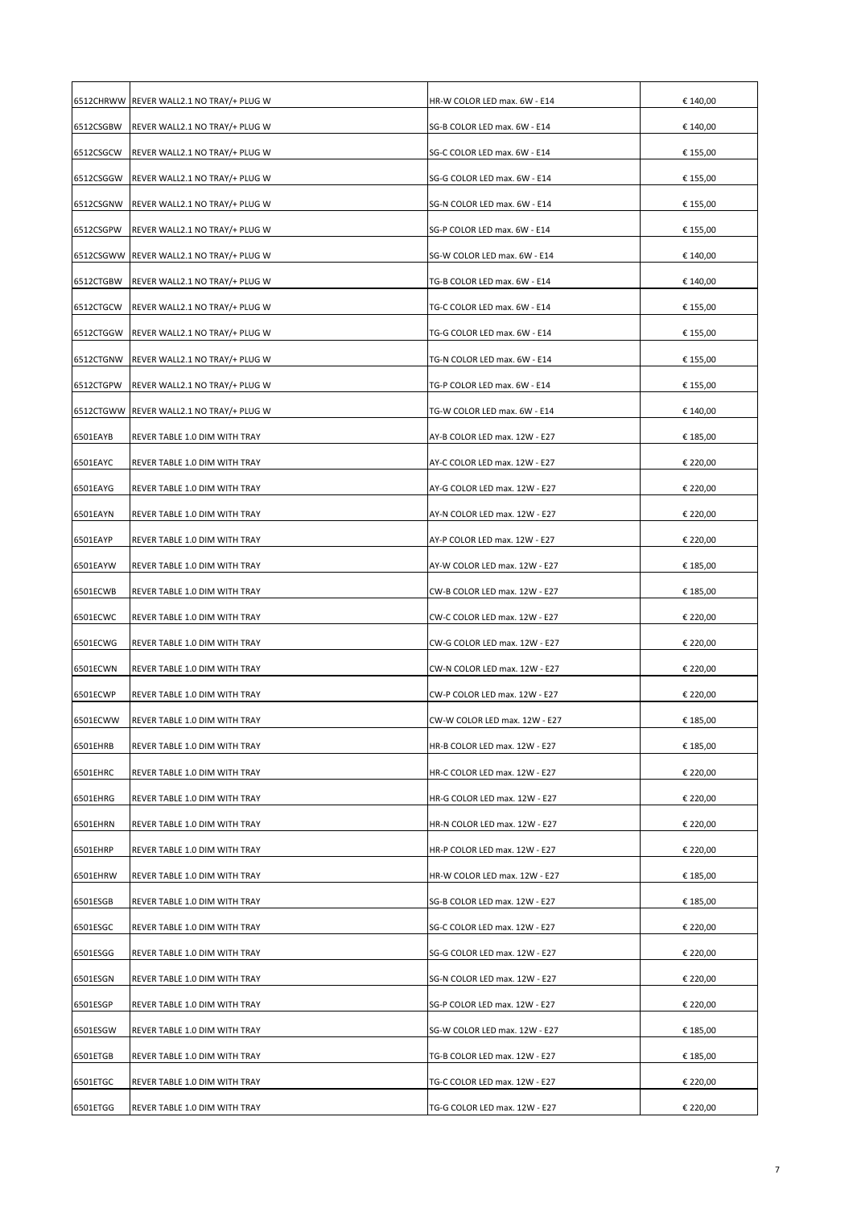|           | 6512CHRWW REVER WALL2.1 NO TRAY/+ PLUG W | HR-W COLOR LED max. 6W - E14  | € 140,00 |
|-----------|------------------------------------------|-------------------------------|----------|
| 6512CSGBW | REVER WALL2.1 NO TRAY/+ PLUG W           | SG-B COLOR LED max. 6W - E14  | € 140,00 |
| 6512CSGCW | REVER WALL2.1 NO TRAY/+ PLUG W           | SG-C COLOR LED max. 6W - E14  | € 155,00 |
| 6512CSGGW | REVER WALL2.1 NO TRAY/+ PLUG W           | SG-G COLOR LED max. 6W - E14  | € 155,00 |
| 6512CSGNW | REVER WALL2.1 NO TRAY/+ PLUG W           | SG-N COLOR LED max. 6W - E14  | € 155,00 |
| 6512CSGPW | REVER WALL2.1 NO TRAY/+ PLUG W           | SG-P COLOR LED max. 6W - E14  | € 155,00 |
|           | 6512CSGWW REVER WALL2.1 NO TRAY/+ PLUG W | SG-W COLOR LED max. 6W - E14  | € 140,00 |
| 6512CTGBW | REVER WALL2.1 NO TRAY/+ PLUG W           | TG-B COLOR LED max. 6W - E14  | € 140,00 |
| 6512CTGCW | REVER WALL2.1 NO TRAY/+ PLUG W           | TG-C COLOR LED max. 6W - E14  | € 155,00 |
| 6512CTGGW | REVER WALL2.1 NO TRAY/+ PLUG W           | TG-G COLOR LED max. 6W - E14  | € 155,00 |
| 6512CTGNW | REVER WALL2.1 NO TRAY/+ PLUG W           | TG-N COLOR LED max. 6W - E14  | € 155,00 |
| 6512CTGPW | REVER WALL2.1 NO TRAY/+ PLUG W           | TG-P COLOR LED max. 6W - E14  | € 155,00 |
|           | 6512CTGWW REVER WALL2.1 NO TRAY/+ PLUG W | TG-W COLOR LED max. 6W - E14  | € 140,00 |
| 6501EAYB  | REVER TABLE 1.0 DIM WITH TRAY            | AY-B COLOR LED max. 12W - E27 | € 185,00 |
| 6501EAYC  | REVER TABLE 1.0 DIM WITH TRAY            | AY-C COLOR LED max. 12W - E27 | € 220,00 |
| 6501EAYG  | REVER TABLE 1.0 DIM WITH TRAY            | AY-G COLOR LED max. 12W - E27 | € 220,00 |
| 6501EAYN  | REVER TABLE 1.0 DIM WITH TRAY            | AY-N COLOR LED max. 12W - E27 | € 220,00 |
| 6501EAYP  | REVER TABLE 1.0 DIM WITH TRAY            | AY-P COLOR LED max. 12W - E27 | € 220,00 |
| 6501EAYW  | REVER TABLE 1.0 DIM WITH TRAY            | AY-W COLOR LED max. 12W - E27 | € 185,00 |
| 6501ECWB  | REVER TABLE 1.0 DIM WITH TRAY            | CW-B COLOR LED max. 12W - E27 | € 185,00 |
| 6501ECWC  | REVER TABLE 1.0 DIM WITH TRAY            | CW-C COLOR LED max. 12W - E27 | € 220,00 |
| 6501ECWG  | REVER TABLE 1.0 DIM WITH TRAY            | CW-G COLOR LED max. 12W - E27 | € 220,00 |
| 6501ECWN  | REVER TABLE 1.0 DIM WITH TRAY            | CW-N COLOR LED max. 12W - E27 | € 220,00 |
| 6501ECWP  | REVER TABLE 1.0 DIM WITH TRAY            | CW-P COLOR LED max. 12W - E27 | € 220,00 |
| 6501ECWW  | REVER TABLE 1.0 DIM WITH TRAY            | CW-W COLOR LED max. 12W - E27 | € 185,00 |
| 6501EHRB  | REVER TABLE 1.0 DIM WITH TRAY            | HR-B COLOR LED max. 12W - E27 | € 185,00 |
| 6501EHRC  | REVER TABLE 1.0 DIM WITH TRAY            | HR-C COLOR LED max. 12W - E27 | € 220,00 |
| 6501EHRG  | REVER TABLE 1.0 DIM WITH TRAY            | HR-G COLOR LED max. 12W - E27 | € 220,00 |
| 6501EHRN  | REVER TABLE 1.0 DIM WITH TRAY            | HR-N COLOR LED max. 12W - E27 | € 220,00 |
| 6501EHRP  | REVER TABLE 1.0 DIM WITH TRAY            | HR-P COLOR LED max. 12W - E27 | € 220,00 |
| 6501EHRW  | REVER TABLE 1.0 DIM WITH TRAY            | HR-W COLOR LED max. 12W - E27 | € 185,00 |
| 6501ESGB  | REVER TABLE 1.0 DIM WITH TRAY            | SG-B COLOR LED max. 12W - E27 | € 185,00 |
| 6501ESGC  | REVER TABLE 1.0 DIM WITH TRAY            | SG-C COLOR LED max. 12W - E27 | € 220,00 |
| 6501ESGG  | REVER TABLE 1.0 DIM WITH TRAY            | SG-G COLOR LED max. 12W - E27 | € 220,00 |
| 6501ESGN  | REVER TABLE 1.0 DIM WITH TRAY            | SG-N COLOR LED max. 12W - E27 | € 220,00 |
| 6501ESGP  | REVER TABLE 1.0 DIM WITH TRAY            | SG-P COLOR LED max. 12W - E27 | € 220,00 |
| 6501ESGW  | REVER TABLE 1.0 DIM WITH TRAY            | SG-W COLOR LED max. 12W - E27 | € 185,00 |
| 6501ETGB  | REVER TABLE 1.0 DIM WITH TRAY            | TG-B COLOR LED max. 12W - E27 | € 185,00 |
| 6501ETGC  | REVER TABLE 1.0 DIM WITH TRAY            | TG-C COLOR LED max. 12W - E27 | € 220,00 |
| 6501ETGG  | REVER TABLE 1.0 DIM WITH TRAY            | TG-G COLOR LED max. 12W - E27 | € 220,00 |
|           |                                          |                               |          |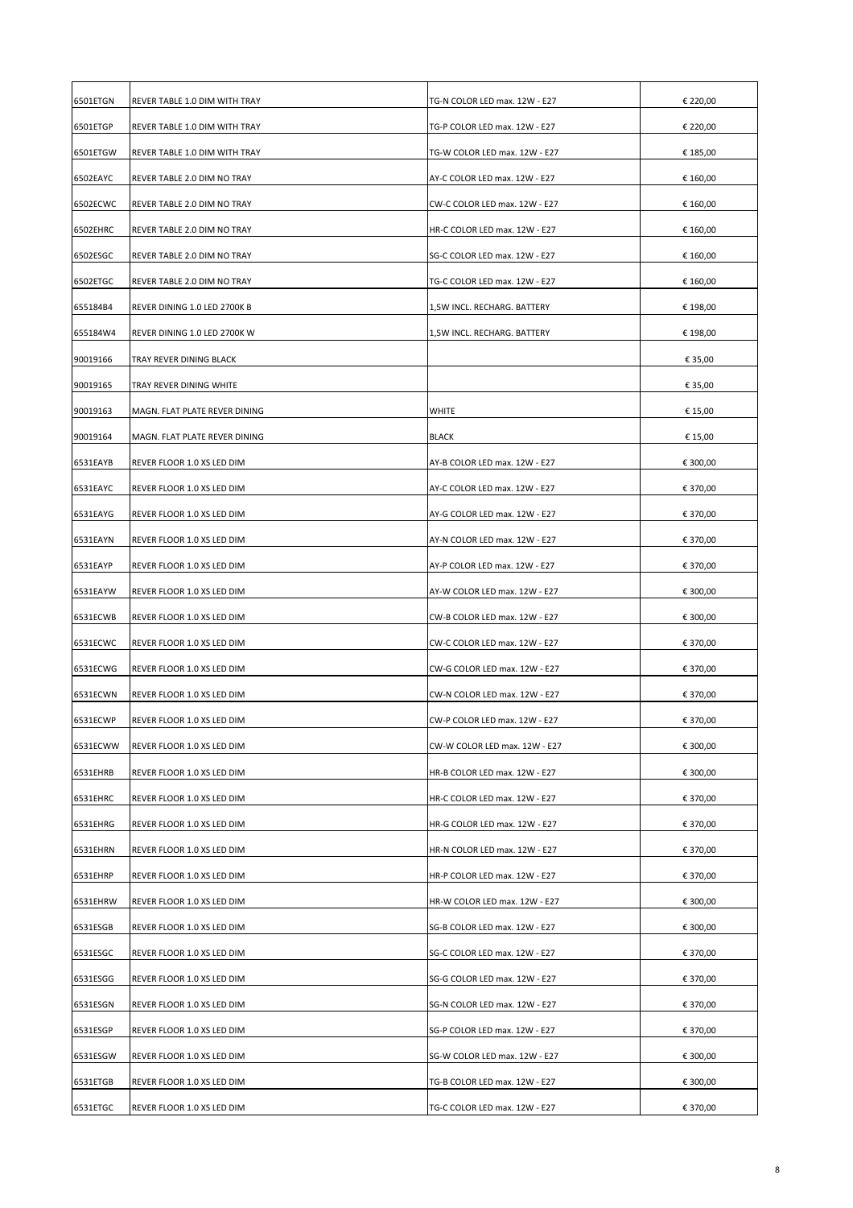| 6501ETGN | REVER TABLE 1.0 DIM WITH TRAY | TG-N COLOR LED max. 12W - E27 | € 220,00 |
|----------|-------------------------------|-------------------------------|----------|
| 6501ETGP | REVER TABLE 1.0 DIM WITH TRAY | TG-P COLOR LED max. 12W - E27 | € 220,00 |
| 6501ETGW | REVER TABLE 1.0 DIM WITH TRAY | TG-W COLOR LED max. 12W - E27 | € 185,00 |
| 6502EAYC | REVER TABLE 2.0 DIM NO TRAY   | AY-C COLOR LED max. 12W - E27 | € 160,00 |
| 6502ECWC | REVER TABLE 2.0 DIM NO TRAY   | CW-C COLOR LED max. 12W - E27 | € 160,00 |
| 6502EHRC | REVER TABLE 2.0 DIM NO TRAY   | HR-C COLOR LED max. 12W - E27 | € 160,00 |
| 6502ESGC | REVER TABLE 2.0 DIM NO TRAY   | SG-C COLOR LED max. 12W - E27 | € 160,00 |
| 6502ETGC | REVER TABLE 2.0 DIM NO TRAY   | TG-C COLOR LED max. 12W - E27 | € 160,00 |
| 655184B4 | REVER DINING 1.0 LED 2700K B  | 1,5W INCL. RECHARG. BATTERY   | € 198,00 |
| 655184W4 | REVER DINING 1.0 LED 2700K W  | 1,5W INCL. RECHARG. BATTERY   | € 198,00 |
| 90019166 | TRAY REVER DINING BLACK       |                               | € 35,00  |
| 90019165 | TRAY REVER DINING WHITE       |                               | € 35,00  |
| 90019163 | MAGN. FLAT PLATE REVER DINING | <b>WHITE</b>                  | € 15,00  |
| 90019164 | MAGN. FLAT PLATE REVER DINING | BLACK                         | € 15,00  |
| 6531EAYB | REVER FLOOR 1.0 XS LED DIM    | AY-B COLOR LED max. 12W - E27 | € 300,00 |
| 6531EAYC | REVER FLOOR 1.0 XS LED DIM    | AY-C COLOR LED max. 12W - E27 | € 370,00 |
| 6531EAYG | REVER FLOOR 1.0 XS LED DIM    | AY-G COLOR LED max. 12W - E27 | € 370,00 |
| 6531EAYN | REVER FLOOR 1.0 XS LED DIM    | AY-N COLOR LED max. 12W - E27 | € 370,00 |
| 6531EAYP | REVER FLOOR 1.0 XS LED DIM    | AY-P COLOR LED max. 12W - E27 | € 370,00 |
| 6531EAYW | REVER FLOOR 1.0 XS LED DIM    | AY-W COLOR LED max. 12W - E27 | € 300,00 |
| 6531ECWB | REVER FLOOR 1.0 XS LED DIM    | CW-B COLOR LED max. 12W - E27 | € 300,00 |
| 6531ECWC | REVER FLOOR 1.0 XS LED DIM    | CW-C COLOR LED max. 12W - E27 | € 370,00 |
| 6531ECWG | REVER FLOOR 1.0 XS LED DIM    | CW-G COLOR LED max. 12W - E27 | € 370,00 |
| 6531ECWN | REVER FLOOR 1.0 XS LED DIM    | CW-N COLOR LED max. 12W - E27 | € 370,00 |
| 6531ECWP | REVER FLOOR 1.0 XS LED DIM    | CW-P COLOR LED max. 12W - E27 | € 370,00 |
| 6531ECWW | REVER FLOOR 1.0 XS LED DIM    | CW-W COLOR LED max. 12W - E27 | € 300,00 |
| 6531EHRB | REVER FLOOR 1.0 XS LED DIM    | HR-B COLOR LED max. 12W - E27 | € 300,00 |
| 6531EHRC | REVER FLOOR 1.0 XS LED DIM    | HR-C COLOR LED max. 12W - E27 | € 370,00 |
| 6531EHRG | REVER FLOOR 1.0 XS LED DIM    | HR-G COLOR LED max. 12W - E27 | € 370,00 |
| 6531EHRN | REVER FLOOR 1.0 XS LED DIM    | HR-N COLOR LED max. 12W - E27 | € 370,00 |
| 6531EHRP | REVER FLOOR 1.0 XS LED DIM    | HR-P COLOR LED max. 12W - E27 | € 370,00 |
| 6531EHRW | REVER FLOOR 1.0 XS LED DIM    | HR-W COLOR LED max. 12W - E27 | € 300,00 |
| 6531ESGB | REVER FLOOR 1.0 XS LED DIM    | SG-B COLOR LED max. 12W - E27 | € 300,00 |
| 6531ESGC | REVER FLOOR 1.0 XS LED DIM    | SG-C COLOR LED max. 12W - E27 | € 370,00 |
| 6531ESGG | REVER FLOOR 1.0 XS LED DIM    | SG-G COLOR LED max. 12W - E27 | € 370,00 |
| 6531ESGN | REVER FLOOR 1.0 XS LED DIM    | SG-N COLOR LED max. 12W - E27 | € 370,00 |
| 6531ESGP | REVER FLOOR 1.0 XS LED DIM    | SG-P COLOR LED max. 12W - E27 | € 370,00 |
| 6531ESGW | REVER FLOOR 1.0 XS LED DIM    | SG-W COLOR LED max. 12W - E27 | € 300,00 |
| 6531ETGB | REVER FLOOR 1.0 XS LED DIM    | TG-B COLOR LED max. 12W - E27 | € 300,00 |
| 6531ETGC | REVER FLOOR 1.0 XS LED DIM    | TG-C COLOR LED max. 12W - E27 | € 370,00 |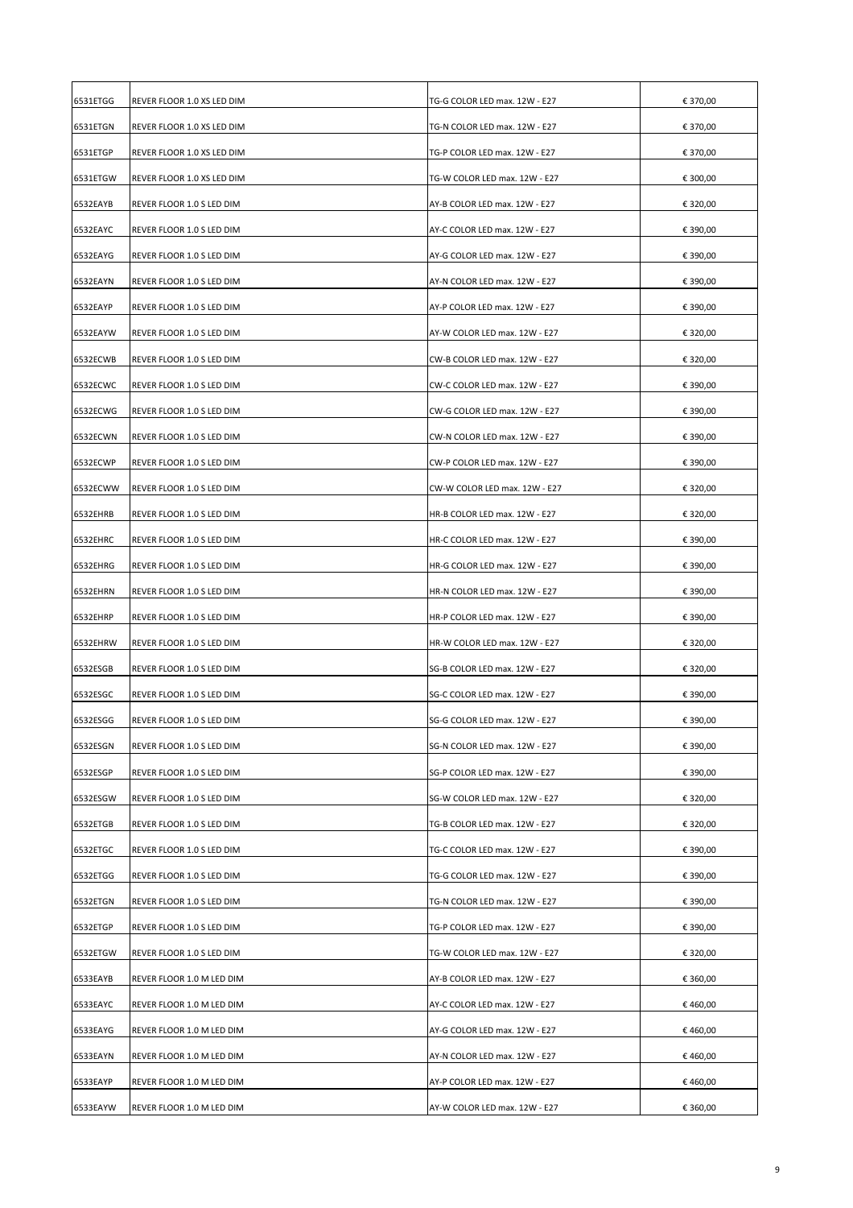| 6531ETGG | REVER FLOOR 1.0 XS LED DIM | TG-G COLOR LED max. 12W - E27 | € 370,00 |
|----------|----------------------------|-------------------------------|----------|
| 6531ETGN | REVER FLOOR 1.0 XS LED DIM | TG-N COLOR LED max. 12W - E27 | € 370,00 |
| 6531ETGP | REVER FLOOR 1.0 XS LED DIM | TG-P COLOR LED max. 12W - E27 | € 370,00 |
| 6531ETGW | REVER FLOOR 1.0 XS LED DIM | TG-W COLOR LED max. 12W - E27 | € 300,00 |
| 6532EAYB | REVER FLOOR 1.0 S LED DIM  | AY-B COLOR LED max. 12W - E27 | € 320,00 |
| 6532EAYC | REVER FLOOR 1.0 S LED DIM  | AY-C COLOR LED max. 12W - E27 | € 390,00 |
| 6532EAYG | REVER FLOOR 1.0 S LED DIM  | AY-G COLOR LED max. 12W - E27 | € 390,00 |
| 6532EAYN | REVER FLOOR 1.0 S LED DIM  | AY-N COLOR LED max. 12W - E27 | € 390,00 |
| 6532EAYP | REVER FLOOR 1.0 S LED DIM  | AY-P COLOR LED max. 12W - E27 | € 390,00 |
| 6532EAYW | REVER FLOOR 1.0 S LED DIM  | AY-W COLOR LED max. 12W - E27 | € 320,00 |
| 6532ECWB | REVER FLOOR 1.0 S LED DIM  | CW-B COLOR LED max. 12W - E27 | € 320,00 |
| 6532ECWC | REVER FLOOR 1.0 S LED DIM  | CW-C COLOR LED max. 12W - E27 | € 390,00 |
| 6532ECWG | REVER FLOOR 1.0 S LED DIM  | CW-G COLOR LED max. 12W - E27 | € 390,00 |
| 6532ECWN | REVER FLOOR 1.0 S LED DIM  | CW-N COLOR LED max. 12W - E27 | € 390,00 |
| 6532ECWP | REVER FLOOR 1.0 S LED DIM  | CW-P COLOR LED max. 12W - E27 | € 390,00 |
| 6532ECWW | REVER FLOOR 1.0 S LED DIM  | CW-W COLOR LED max. 12W - E27 | € 320,00 |
| 6532EHRB | REVER FLOOR 1.0 S LED DIM  | HR-B COLOR LED max. 12W - E27 | € 320,00 |
| 6532EHRC | REVER FLOOR 1.0 S LED DIM  | HR-C COLOR LED max. 12W - E27 | € 390,00 |
| 6532EHRG | REVER FLOOR 1.0 S LED DIM  | HR-G COLOR LED max. 12W - E27 | € 390,00 |
| 6532EHRN | REVER FLOOR 1.0 S LED DIM  | HR-N COLOR LED max. 12W - E27 | € 390,00 |
| 6532EHRP | REVER FLOOR 1.0 S LED DIM  | HR-P COLOR LED max. 12W - E27 | € 390,00 |
| 6532EHRW | REVER FLOOR 1.0 S LED DIM  | HR-W COLOR LED max. 12W - E27 | € 320,00 |
| 6532ESGB | REVER FLOOR 1.0 S LED DIM  | SG-B COLOR LED max. 12W - E27 | € 320,00 |
| 6532ESGC | REVER FLOOR 1.0 S LED DIM  | SG-C COLOR LED max. 12W - E27 | € 390,00 |
| 6532ESGG | REVER FLOOR 1.0 S LED DIM  | SG-G COLOR LED max. 12W - E27 | € 390,00 |
| 6532ESGN | REVER FLOOR 1.0 S LED DIM  | SG-N COLOR LED max. 12W - E27 | € 390,00 |
| 6532ESGP | REVER FLOOR 1.0 S LED DIM  | SG-P COLOR LED max. 12W - E27 | € 390,00 |
| 6532ESGW | REVER FLOOR 1.0 S LED DIM  | SG-W COLOR LED max. 12W - E27 | € 320,00 |
| 6532ETGB | REVER FLOOR 1.0 S LED DIM  | TG-B COLOR LED max. 12W - E27 | € 320,00 |
| 6532ETGC | REVER FLOOR 1.0 S LED DIM  | TG-C COLOR LED max. 12W - E27 | € 390,00 |
| 6532ETGG | REVER FLOOR 1.0 S LED DIM  | TG-G COLOR LED max. 12W - E27 | € 390,00 |
| 6532ETGN | REVER FLOOR 1.0 S LED DIM  | TG-N COLOR LED max. 12W - E27 | € 390,00 |
| 6532ETGP | REVER FLOOR 1.0 S LED DIM  | TG-P COLOR LED max. 12W - E27 | € 390,00 |
| 6532ETGW | REVER FLOOR 1.0 S LED DIM  | TG-W COLOR LED max. 12W - E27 | € 320,00 |
| 6533EAYB | REVER FLOOR 1.0 M LED DIM  | AY-B COLOR LED max. 12W - E27 | € 360,00 |
| 6533EAYC | REVER FLOOR 1.0 M LED DIM  | AY-C COLOR LED max. 12W - E27 | €460,00  |
| 6533EAYG | REVER FLOOR 1.0 M LED DIM  | AY-G COLOR LED max. 12W - E27 | € 460,00 |
| 6533EAYN | REVER FLOOR 1.0 M LED DIM  | AY-N COLOR LED max. 12W - E27 | €460,00  |
| 6533EAYP | REVER FLOOR 1.0 M LED DIM  | AY-P COLOR LED max. 12W - E27 | €460,00  |
|          |                            |                               |          |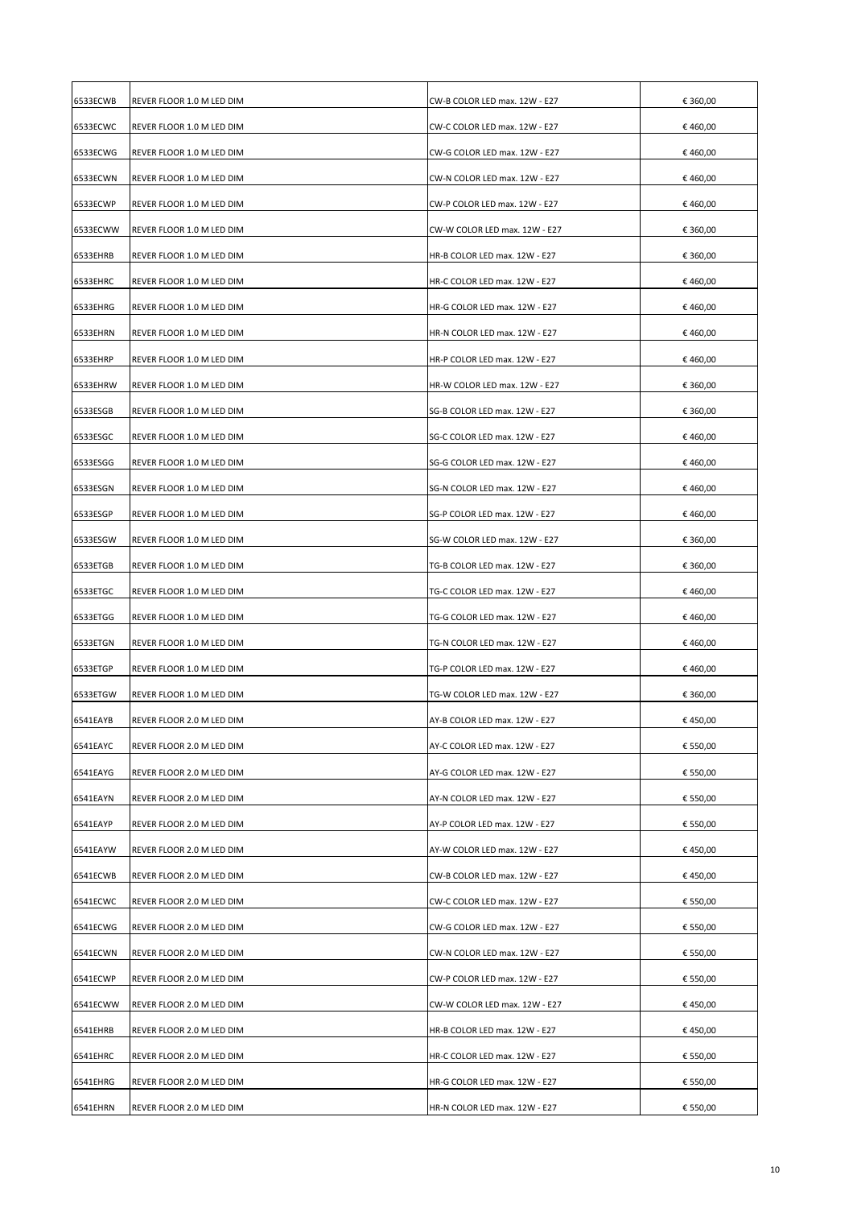| 6533ECWB<br>REVER FLOOR 1.0 M LED DIM<br>CW-B COLOR LED max. 12W - E27<br>6533ECWC<br>REVER FLOOR 1.0 M LED DIM<br>CW-C COLOR LED max. 12W - E27<br>6533ECWG<br>REVER FLOOR 1.0 M LED DIM<br>CW-G COLOR LED max. 12W - E27<br>6533ECWN<br>REVER FLOOR 1.0 M LED DIM<br>CW-N COLOR LED max. 12W - E27<br>6533ECWP<br>CW-P COLOR LED max. 12W - E27<br>REVER FLOOR 1.0 M LED DIM<br>6533ECWW<br>REVER FLOOR 1.0 M LED DIM<br>CW-W COLOR LED max. 12W - E27<br>6533EHRB<br>REVER FLOOR 1.0 M LED DIM<br>HR-B COLOR LED max. 12W - E27<br>6533EHRC<br>REVER FLOOR 1.0 M LED DIM<br>HR-C COLOR LED max. 12W - E27<br>6533EHRG<br>REVER FLOOR 1.0 M LED DIM<br>HR-G COLOR LED max. 12W - E27<br>6533EHRN<br>HR-N COLOR LED max. 12W - E27<br>REVER FLOOR 1.0 M LED DIM<br>6533EHRP<br>REVER FLOOR 1.0 M LED DIM<br>HR-P COLOR LED max. 12W - E27<br>6533EHRW<br>REVER FLOOR 1.0 M LED DIM<br>HR-W COLOR LED max. 12W - E27<br>6533ESGB<br>REVER FLOOR 1.0 M LED DIM<br>SG-B COLOR LED max. 12W - E27<br>6533ESGC<br>REVER FLOOR 1.0 M LED DIM<br>SG-C COLOR LED max. 12W - E27<br>6533ESGG<br>REVER FLOOR 1.0 M LED DIM<br>SG-G COLOR LED max. 12W - E27<br>6533ESGN<br>REVER FLOOR 1.0 M LED DIM<br>SG-N COLOR LED max. 12W - E27<br>6533ESGP<br>REVER FLOOR 1.0 M LED DIM<br>SG-P COLOR LED max. 12W - E27<br>6533ESGW<br>REVER FLOOR 1.0 M LED DIM<br>SG-W COLOR LED max. 12W - E27 | € 360,00<br>€ 460,00<br>€ 460,00<br>€ 460,00<br>€460,00<br>€ 360,00<br>€ 360,00<br>€ 460,00<br>€ 460,00<br>€ 460,00<br>€460,00<br>€ 360,00<br>€ 360,00<br>€ 460,00<br>€ 460,00 |
|----------------------------------------------------------------------------------------------------------------------------------------------------------------------------------------------------------------------------------------------------------------------------------------------------------------------------------------------------------------------------------------------------------------------------------------------------------------------------------------------------------------------------------------------------------------------------------------------------------------------------------------------------------------------------------------------------------------------------------------------------------------------------------------------------------------------------------------------------------------------------------------------------------------------------------------------------------------------------------------------------------------------------------------------------------------------------------------------------------------------------------------------------------------------------------------------------------------------------------------------------------------------------------------------------------------------------------------------------------------------------------|--------------------------------------------------------------------------------------------------------------------------------------------------------------------------------|
|                                                                                                                                                                                                                                                                                                                                                                                                                                                                                                                                                                                                                                                                                                                                                                                                                                                                                                                                                                                                                                                                                                                                                                                                                                                                                                                                                                                  |                                                                                                                                                                                |
|                                                                                                                                                                                                                                                                                                                                                                                                                                                                                                                                                                                                                                                                                                                                                                                                                                                                                                                                                                                                                                                                                                                                                                                                                                                                                                                                                                                  |                                                                                                                                                                                |
|                                                                                                                                                                                                                                                                                                                                                                                                                                                                                                                                                                                                                                                                                                                                                                                                                                                                                                                                                                                                                                                                                                                                                                                                                                                                                                                                                                                  |                                                                                                                                                                                |
|                                                                                                                                                                                                                                                                                                                                                                                                                                                                                                                                                                                                                                                                                                                                                                                                                                                                                                                                                                                                                                                                                                                                                                                                                                                                                                                                                                                  |                                                                                                                                                                                |
|                                                                                                                                                                                                                                                                                                                                                                                                                                                                                                                                                                                                                                                                                                                                                                                                                                                                                                                                                                                                                                                                                                                                                                                                                                                                                                                                                                                  |                                                                                                                                                                                |
|                                                                                                                                                                                                                                                                                                                                                                                                                                                                                                                                                                                                                                                                                                                                                                                                                                                                                                                                                                                                                                                                                                                                                                                                                                                                                                                                                                                  |                                                                                                                                                                                |
|                                                                                                                                                                                                                                                                                                                                                                                                                                                                                                                                                                                                                                                                                                                                                                                                                                                                                                                                                                                                                                                                                                                                                                                                                                                                                                                                                                                  |                                                                                                                                                                                |
|                                                                                                                                                                                                                                                                                                                                                                                                                                                                                                                                                                                                                                                                                                                                                                                                                                                                                                                                                                                                                                                                                                                                                                                                                                                                                                                                                                                  |                                                                                                                                                                                |
|                                                                                                                                                                                                                                                                                                                                                                                                                                                                                                                                                                                                                                                                                                                                                                                                                                                                                                                                                                                                                                                                                                                                                                                                                                                                                                                                                                                  |                                                                                                                                                                                |
|                                                                                                                                                                                                                                                                                                                                                                                                                                                                                                                                                                                                                                                                                                                                                                                                                                                                                                                                                                                                                                                                                                                                                                                                                                                                                                                                                                                  |                                                                                                                                                                                |
|                                                                                                                                                                                                                                                                                                                                                                                                                                                                                                                                                                                                                                                                                                                                                                                                                                                                                                                                                                                                                                                                                                                                                                                                                                                                                                                                                                                  |                                                                                                                                                                                |
|                                                                                                                                                                                                                                                                                                                                                                                                                                                                                                                                                                                                                                                                                                                                                                                                                                                                                                                                                                                                                                                                                                                                                                                                                                                                                                                                                                                  |                                                                                                                                                                                |
|                                                                                                                                                                                                                                                                                                                                                                                                                                                                                                                                                                                                                                                                                                                                                                                                                                                                                                                                                                                                                                                                                                                                                                                                                                                                                                                                                                                  |                                                                                                                                                                                |
|                                                                                                                                                                                                                                                                                                                                                                                                                                                                                                                                                                                                                                                                                                                                                                                                                                                                                                                                                                                                                                                                                                                                                                                                                                                                                                                                                                                  |                                                                                                                                                                                |
|                                                                                                                                                                                                                                                                                                                                                                                                                                                                                                                                                                                                                                                                                                                                                                                                                                                                                                                                                                                                                                                                                                                                                                                                                                                                                                                                                                                  |                                                                                                                                                                                |
|                                                                                                                                                                                                                                                                                                                                                                                                                                                                                                                                                                                                                                                                                                                                                                                                                                                                                                                                                                                                                                                                                                                                                                                                                                                                                                                                                                                  | € 460,00                                                                                                                                                                       |
|                                                                                                                                                                                                                                                                                                                                                                                                                                                                                                                                                                                                                                                                                                                                                                                                                                                                                                                                                                                                                                                                                                                                                                                                                                                                                                                                                                                  | €460,00                                                                                                                                                                        |
|                                                                                                                                                                                                                                                                                                                                                                                                                                                                                                                                                                                                                                                                                                                                                                                                                                                                                                                                                                                                                                                                                                                                                                                                                                                                                                                                                                                  | € 360,00                                                                                                                                                                       |
| 6533ETGB<br>REVER FLOOR 1.0 M LED DIM<br>TG-B COLOR LED max. 12W - E27                                                                                                                                                                                                                                                                                                                                                                                                                                                                                                                                                                                                                                                                                                                                                                                                                                                                                                                                                                                                                                                                                                                                                                                                                                                                                                           | € 360,00                                                                                                                                                                       |
| 6533ETGC<br>REVER FLOOR 1.0 M LED DIM<br>TG-C COLOR LED max. 12W - E27                                                                                                                                                                                                                                                                                                                                                                                                                                                                                                                                                                                                                                                                                                                                                                                                                                                                                                                                                                                                                                                                                                                                                                                                                                                                                                           | €460,00                                                                                                                                                                        |
| 6533ETGG<br>REVER FLOOR 1.0 M LED DIM<br>TG-G COLOR LED max. 12W - E27                                                                                                                                                                                                                                                                                                                                                                                                                                                                                                                                                                                                                                                                                                                                                                                                                                                                                                                                                                                                                                                                                                                                                                                                                                                                                                           | € 460,00                                                                                                                                                                       |
| 6533ETGN<br>REVER FLOOR 1.0 M LED DIM<br>TG-N COLOR LED max. 12W - E27                                                                                                                                                                                                                                                                                                                                                                                                                                                                                                                                                                                                                                                                                                                                                                                                                                                                                                                                                                                                                                                                                                                                                                                                                                                                                                           | € 460,00                                                                                                                                                                       |
| 6533ETGP<br>REVER FLOOR 1.0 M LED DIM<br>TG-P COLOR LED max. 12W - E27                                                                                                                                                                                                                                                                                                                                                                                                                                                                                                                                                                                                                                                                                                                                                                                                                                                                                                                                                                                                                                                                                                                                                                                                                                                                                                           | €460,00                                                                                                                                                                        |
| 6533ETGW<br>TG-W COLOR LED max. 12W - E27<br>REVER FLOOR 1.0 M LED DIM                                                                                                                                                                                                                                                                                                                                                                                                                                                                                                                                                                                                                                                                                                                                                                                                                                                                                                                                                                                                                                                                                                                                                                                                                                                                                                           |                                                                                                                                                                                |
| 6541EAYB<br>REVER FLOOR 2.0 M LED DIM<br>AY-B COLOR LED max. 12W - E27                                                                                                                                                                                                                                                                                                                                                                                                                                                                                                                                                                                                                                                                                                                                                                                                                                                                                                                                                                                                                                                                                                                                                                                                                                                                                                           | € 360,00                                                                                                                                                                       |
| 6541EAYC<br>REVER FLOOR 2.0 M LED DIM<br>AY-C COLOR LED max. 12W - E27                                                                                                                                                                                                                                                                                                                                                                                                                                                                                                                                                                                                                                                                                                                                                                                                                                                                                                                                                                                                                                                                                                                                                                                                                                                                                                           | € 450,00                                                                                                                                                                       |
|                                                                                                                                                                                                                                                                                                                                                                                                                                                                                                                                                                                                                                                                                                                                                                                                                                                                                                                                                                                                                                                                                                                                                                                                                                                                                                                                                                                  | € 550,00                                                                                                                                                                       |
| 6541EAYG<br>AY-G COLOR LED max. 12W - E27<br>REVER FLOOR 2.0 M LED DIM                                                                                                                                                                                                                                                                                                                                                                                                                                                                                                                                                                                                                                                                                                                                                                                                                                                                                                                                                                                                                                                                                                                                                                                                                                                                                                           | € 550,00                                                                                                                                                                       |
| 6541EAYN<br>REVER FLOOR 2.0 M LED DIM<br>AY-N COLOR LED max. 12W - E27                                                                                                                                                                                                                                                                                                                                                                                                                                                                                                                                                                                                                                                                                                                                                                                                                                                                                                                                                                                                                                                                                                                                                                                                                                                                                                           | € 550,00                                                                                                                                                                       |
| 6541EAYP<br>REVER FLOOR 2.0 M LED DIM<br>AY-P COLOR LED max. 12W - E27                                                                                                                                                                                                                                                                                                                                                                                                                                                                                                                                                                                                                                                                                                                                                                                                                                                                                                                                                                                                                                                                                                                                                                                                                                                                                                           | € 550,00                                                                                                                                                                       |
| 6541EAYW<br>AY-W COLOR LED max. 12W - E27<br>REVER FLOOR 2.0 M LED DIM                                                                                                                                                                                                                                                                                                                                                                                                                                                                                                                                                                                                                                                                                                                                                                                                                                                                                                                                                                                                                                                                                                                                                                                                                                                                                                           | €450,00                                                                                                                                                                        |
| 6541ECWB<br>CW-B COLOR LED max. 12W - E27<br>REVER FLOOR 2.0 M LED DIM                                                                                                                                                                                                                                                                                                                                                                                                                                                                                                                                                                                                                                                                                                                                                                                                                                                                                                                                                                                                                                                                                                                                                                                                                                                                                                           | € 450,00                                                                                                                                                                       |
| 6541ECWC<br>CW-C COLOR LED max. 12W - E27<br>REVER FLOOR 2.0 M LED DIM                                                                                                                                                                                                                                                                                                                                                                                                                                                                                                                                                                                                                                                                                                                                                                                                                                                                                                                                                                                                                                                                                                                                                                                                                                                                                                           | € 550,00                                                                                                                                                                       |
| 6541ECWG<br>CW-G COLOR LED max. 12W - E27<br>REVER FLOOR 2.0 M LED DIM                                                                                                                                                                                                                                                                                                                                                                                                                                                                                                                                                                                                                                                                                                                                                                                                                                                                                                                                                                                                                                                                                                                                                                                                                                                                                                           | € 550,00                                                                                                                                                                       |
| 6541ECWN<br>REVER FLOOR 2.0 M LED DIM<br>CW-N COLOR LED max. 12W - E27                                                                                                                                                                                                                                                                                                                                                                                                                                                                                                                                                                                                                                                                                                                                                                                                                                                                                                                                                                                                                                                                                                                                                                                                                                                                                                           | € 550,00                                                                                                                                                                       |
| 6541ECWP<br>REVER FLOOR 2.0 M LED DIM<br>CW-P COLOR LED max. 12W - E27                                                                                                                                                                                                                                                                                                                                                                                                                                                                                                                                                                                                                                                                                                                                                                                                                                                                                                                                                                                                                                                                                                                                                                                                                                                                                                           | € 550,00                                                                                                                                                                       |
| 6541ECWW<br>REVER FLOOR 2.0 M LED DIM<br>CW-W COLOR LED max. 12W - E27                                                                                                                                                                                                                                                                                                                                                                                                                                                                                                                                                                                                                                                                                                                                                                                                                                                                                                                                                                                                                                                                                                                                                                                                                                                                                                           | €450,00                                                                                                                                                                        |
| 6541EHRB<br>HR-B COLOR LED max. 12W - E27<br>REVER FLOOR 2.0 M LED DIM                                                                                                                                                                                                                                                                                                                                                                                                                                                                                                                                                                                                                                                                                                                                                                                                                                                                                                                                                                                                                                                                                                                                                                                                                                                                                                           | € 450,00                                                                                                                                                                       |
| 6541EHRC<br>HR-C COLOR LED max. 12W - E27<br>REVER FLOOR 2.0 M LED DIM                                                                                                                                                                                                                                                                                                                                                                                                                                                                                                                                                                                                                                                                                                                                                                                                                                                                                                                                                                                                                                                                                                                                                                                                                                                                                                           | € 550,00                                                                                                                                                                       |
| 6541EHRG<br>HR-G COLOR LED max. 12W - E27<br>REVER FLOOR 2.0 M LED DIM                                                                                                                                                                                                                                                                                                                                                                                                                                                                                                                                                                                                                                                                                                                                                                                                                                                                                                                                                                                                                                                                                                                                                                                                                                                                                                           | € 550,00                                                                                                                                                                       |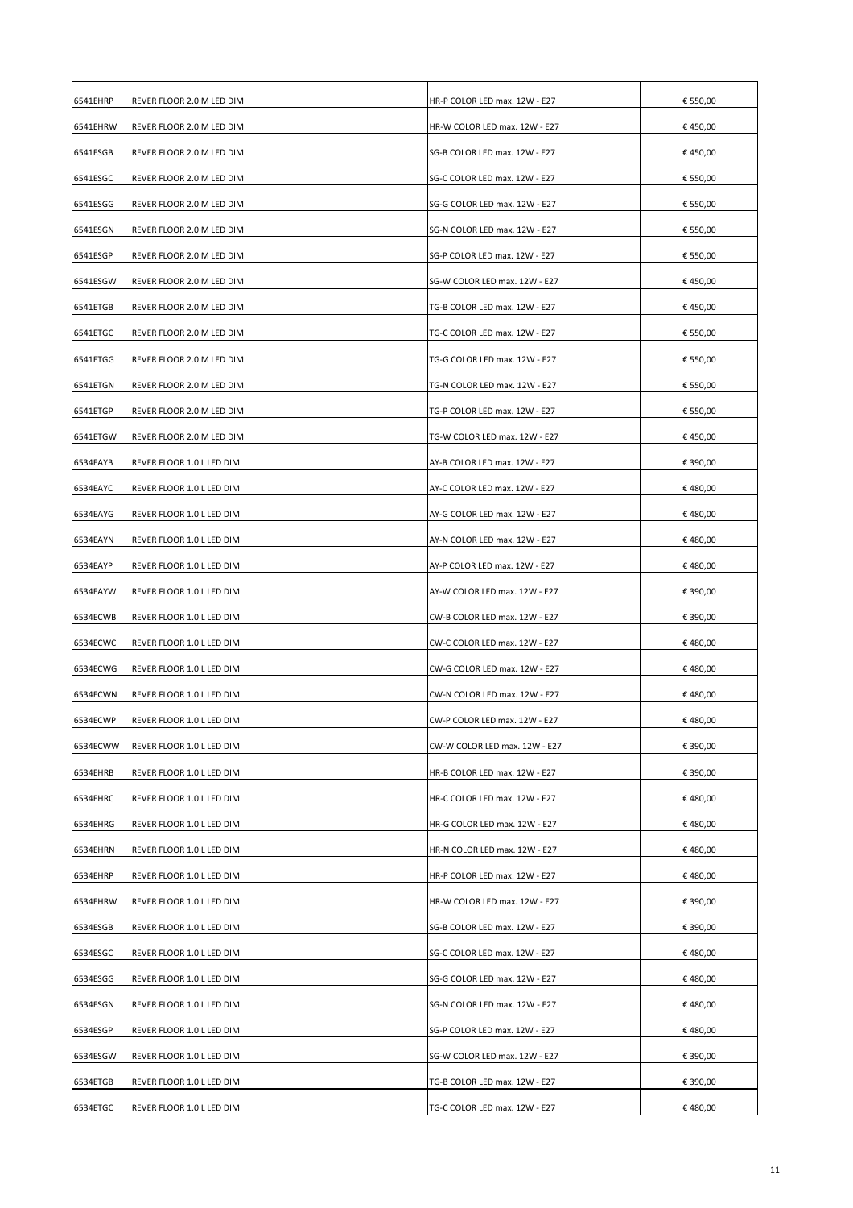| 6541EHRP | REVER FLOOR 2.0 M LED DIM | HR-P COLOR LED max. 12W - E27 | € 550,00 |
|----------|---------------------------|-------------------------------|----------|
| 6541EHRW | REVER FLOOR 2.0 M LED DIM | HR-W COLOR LED max. 12W - E27 | € 450,00 |
| 6541ESGB | REVER FLOOR 2.0 M LED DIM | SG-B COLOR LED max. 12W - E27 | € 450,00 |
| 6541ESGC | REVER FLOOR 2.0 M LED DIM | SG-C COLOR LED max. 12W - E27 | € 550,00 |
| 6541ESGG | REVER FLOOR 2.0 M LED DIM | SG-G COLOR LED max. 12W - E27 | € 550,00 |
| 6541ESGN | REVER FLOOR 2.0 M LED DIM | SG-N COLOR LED max. 12W - E27 | € 550,00 |
| 6541ESGP | REVER FLOOR 2.0 M LED DIM | SG-P COLOR LED max. 12W - E27 | € 550,00 |
| 6541ESGW | REVER FLOOR 2.0 M LED DIM | SG-W COLOR LED max. 12W - E27 | € 450,00 |
| 6541ETGB | REVER FLOOR 2.0 M LED DIM | TG-B COLOR LED max. 12W - E27 | € 450,00 |
| 6541ETGC | REVER FLOOR 2.0 M LED DIM | TG-C COLOR LED max. 12W - E27 | € 550,00 |
| 6541ETGG | REVER FLOOR 2.0 M LED DIM | TG-G COLOR LED max. 12W - E27 | € 550,00 |
| 6541ETGN | REVER FLOOR 2.0 M LED DIM | TG-N COLOR LED max. 12W - E27 | € 550,00 |
| 6541ETGP | REVER FLOOR 2.0 M LED DIM | TG-P COLOR LED max. 12W - E27 | € 550,00 |
| 6541ETGW | REVER FLOOR 2.0 M LED DIM | TG-W COLOR LED max. 12W - E27 | €450,00  |
| 6534EAYB | REVER FLOOR 1.0 L LED DIM | AY-B COLOR LED max. 12W - E27 | € 390,00 |
| 6534EAYC | REVER FLOOR 1.0 L LED DIM | AY-C COLOR LED max. 12W - E27 | € 480,00 |
| 6534EAYG | REVER FLOOR 1.0 L LED DIM | AY-G COLOR LED max. 12W - E27 | €480,00  |
| 6534EAYN | REVER FLOOR 1.0 L LED DIM | AY-N COLOR LED max. 12W - E27 | €480,00  |
| 6534EAYP | REVER FLOOR 1.0 L LED DIM | AY-P COLOR LED max. 12W - E27 | €480,00  |
| 6534EAYW | REVER FLOOR 1.0 L LED DIM | AY-W COLOR LED max. 12W - E27 | € 390,00 |
| 6534ECWB | REVER FLOOR 1.0 L LED DIM | CW-B COLOR LED max. 12W - E27 | € 390,00 |
| 6534ECWC | REVER FLOOR 1.0 L LED DIM | CW-C COLOR LED max. 12W - E27 | € 480,00 |
| 6534ECWG | REVER FLOOR 1.0 L LED DIM | CW-G COLOR LED max. 12W - E27 | €480,00  |
| 6534ECWN | REVER FLOOR 1.0 L LED DIM | CW-N COLOR LED max. 12W - E27 | €480,00  |
| 6534ECWP | REVER FLOOR 1.0 L LED DIM | CW-P COLOR LED max. 12W - E27 | €480,00  |
| 6534ECWW | REVER FLOOR 1.0 L LED DIM | CW-W COLOR LED max. 12W - E27 | € 390,00 |
| 6534EHRB |                           |                               |          |
|          | REVER FLOOR 1.0 L LED DIM | HR-B COLOR LED max. 12W - E27 | € 390,00 |
| 6534EHRC | REVER FLOOR 1.0 L LED DIM | HR-C COLOR LED max. 12W - E27 | €480,00  |
| 6534EHRG | REVER FLOOR 1.0 L LED DIM | HR-G COLOR LED max. 12W - E27 | €480,00  |
| 6534EHRN | REVER FLOOR 1.0 L LED DIM | HR-N COLOR LED max. 12W - E27 | €480,00  |
| 6534EHRP | REVER FLOOR 1.0 L LED DIM | HR-P COLOR LED max. 12W - E27 | €480,00  |
| 6534EHRW | REVER FLOOR 1.0 L LED DIM | HR-W COLOR LED max. 12W - E27 | € 390,00 |
| 6534ESGB | REVER FLOOR 1.0 L LED DIM | SG-B COLOR LED max. 12W - E27 | € 390,00 |
| 6534ESGC | REVER FLOOR 1.0 L LED DIM | SG-C COLOR LED max. 12W - E27 | €480,00  |
| 6534ESGG | REVER FLOOR 1.0 L LED DIM | SG-G COLOR LED max. 12W - E27 | €480,00  |
| 6534ESGN | REVER FLOOR 1.0 L LED DIM | SG-N COLOR LED max. 12W - E27 | €480,00  |
| 6534ESGP | REVER FLOOR 1.0 L LED DIM | SG-P COLOR LED max. 12W - E27 | €480,00  |
| 6534ESGW | REVER FLOOR 1.0 L LED DIM | SG-W COLOR LED max. 12W - E27 | € 390,00 |
| 6534ETGB | REVER FLOOR 1.0 L LED DIM | TG-B COLOR LED max. 12W - E27 | € 390,00 |
| 6534ETGC | REVER FLOOR 1.0 L LED DIM | TG-C COLOR LED max. 12W - E27 | €480,00  |